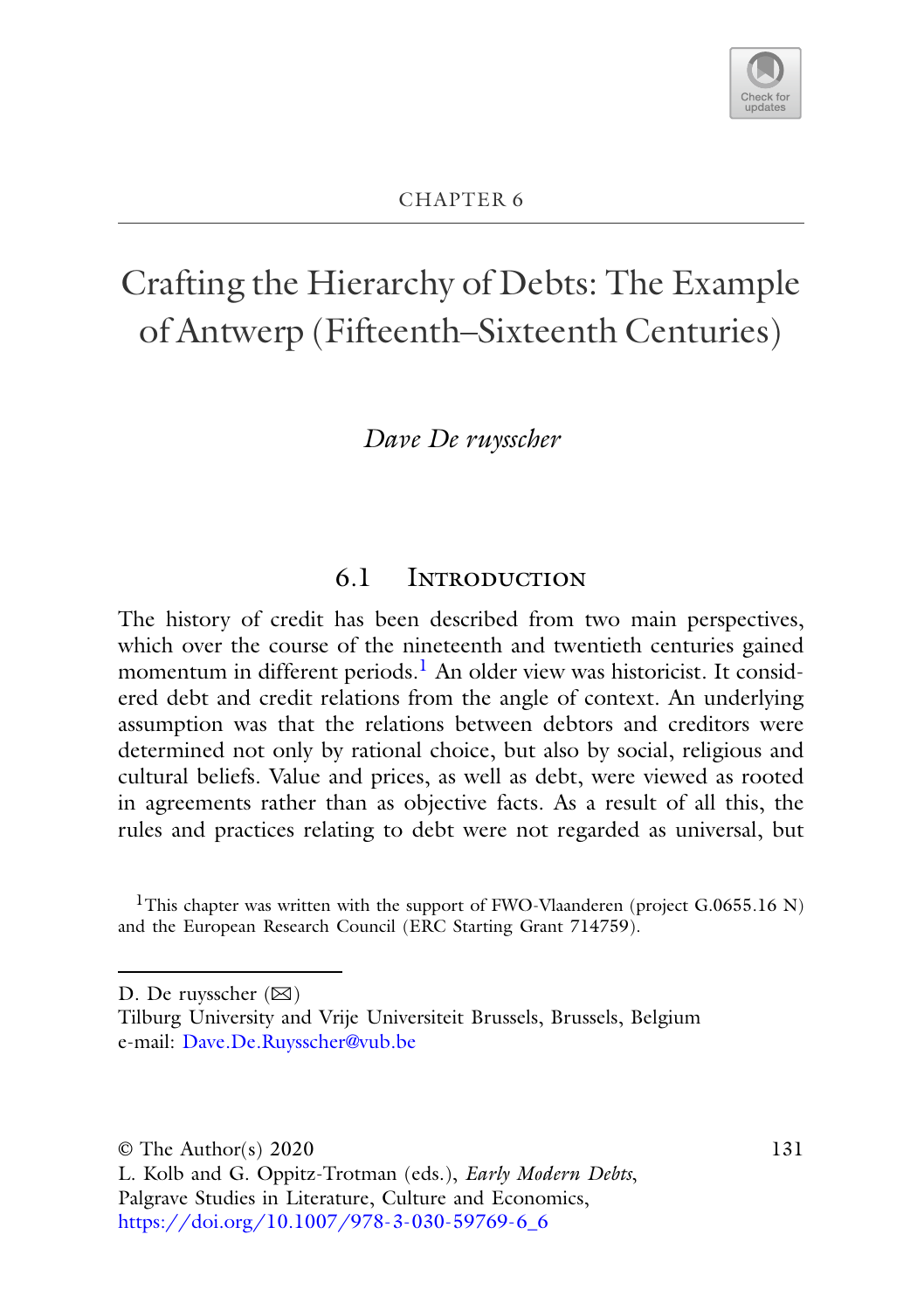

# Crafting the Hierarchy of Debts: The Example of Antwerp (Fifteenth–Sixteenth Centuries)

*Dave De ruysscher*

## 6.1 Introduction

The history of credit has been described from two main perspectives, which over the course of the nineteenth and twentieth centuries gained momentum in different periods.<sup>1</sup> An older view was historicist. It considered debt and credit relations from the angle of context. An underlying assumption was that the relations between debtors and creditors were determined not only by rational choice, but also by social, religious and cultural beliefs. Value and prices, as well as debt, were viewed as rooted in agreements rather than as objective facts. As a result of all this, the rules and practices relating to debt were not regarded as universal, but

<span id="page-0-0"></span><sup>1</sup>This chapter was written with the support of FWO-Vlaanderen (project G.0655.16 N) and the European Research Council (ERC Starting Grant 714759).

D. De ruysscher  $(\boxtimes)$ 

© The Author(s) 2020

131

Tilburg University and Vrije Universiteit Brussels, Brussels, Belgium e-mail: [Dave.De.Ruysscher@vub.be](mailto:Dave.De.Ruysscher@vub.be)

L. Kolb and G. Oppitz-Trotman (eds.), *Early Modern Debts*, Palgrave Studies in Literature, Culture and Economics, [https://doi.org/10.1007/978-3-030-59769-6\\_6](https://doi.org/10.1007/978-3-030-59769-6_6)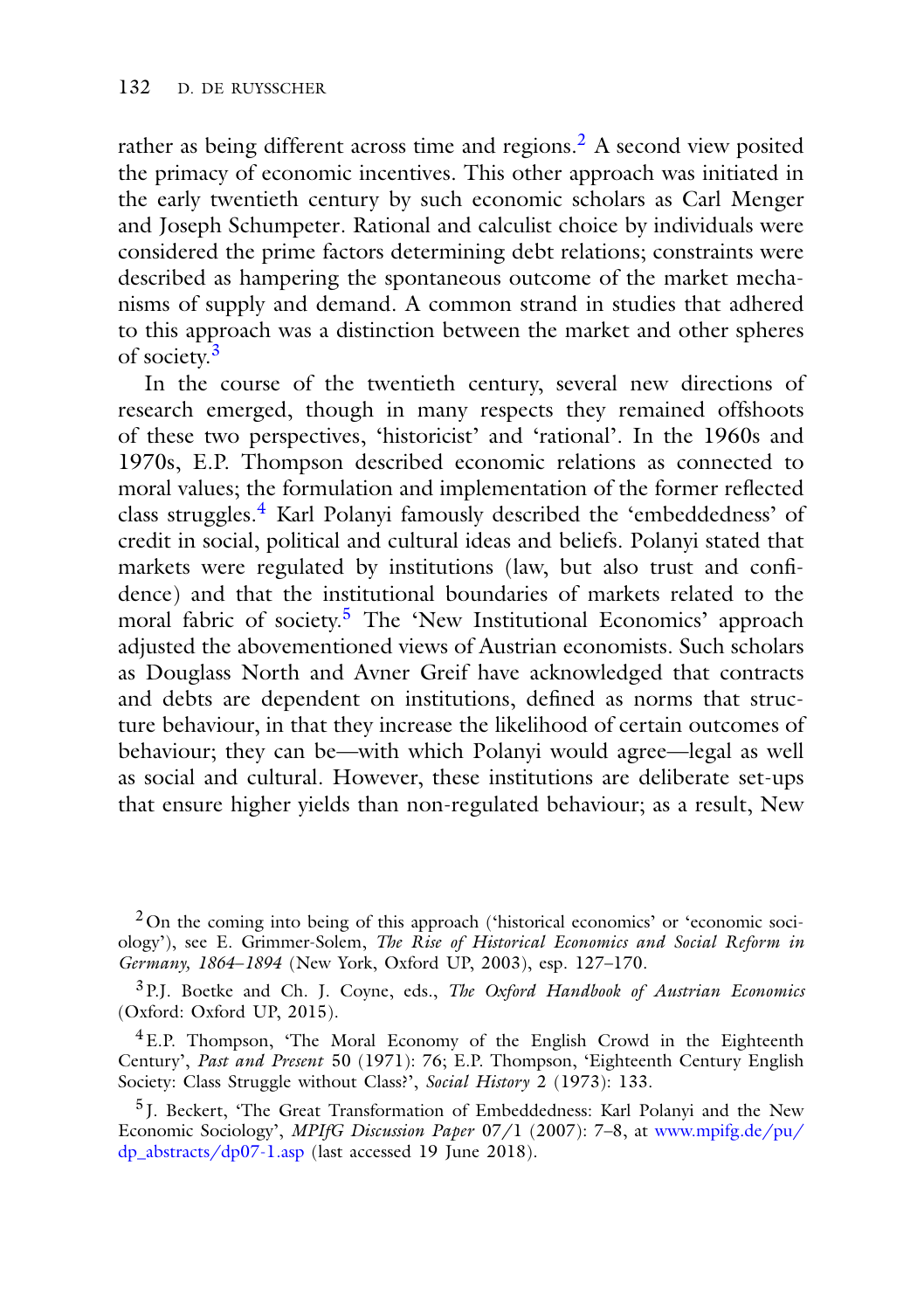rather as being different across time and regions.<sup>2</sup> A second view posited the primacy of economic incentives. This other approach was initiated in the early twentieth century by such economic scholars as Carl Menger and Joseph Schumpeter. Rational and calculist choice by individuals were considered the prime factors determining debt relations; constraints were described as hampering the spontaneous outcome of the market mechanisms of supply and demand. A common strand in studies that adhered to this approach was a distinction between the market and other spheres of society[.3](#page-1-1)

In the course of the twentieth century, several new directions of research emerged, though in many respects they remained offshoots of these two perspectives, 'historicist' and 'rational'. In the 1960s and 1970s, E.P. Thompson described economic relations as connected to moral values; the formulation and implementation of the former reflected class struggles.[4](#page-1-2) Karl Polanyi famously described the 'embeddedness' of credit in social, political and cultural ideas and beliefs. Polanyi stated that markets were regulated by institutions (law, but also trust and confidence) and that the institutional boundaries of markets related to the moral fabric of society[.5](#page-1-3) The 'New Institutional Economics' approach adjusted the abovementioned views of Austrian economists. Such scholars as Douglass North and Avner Greif have acknowledged that contracts and debts are dependent on institutions, defined as norms that structure behaviour, in that they increase the likelihood of certain outcomes of behaviour; they can be—with which Polanyi would agree—legal as well as social and cultural. However, these institutions are deliberate set-ups that ensure higher yields than non-regulated behaviour; as a result, New

<span id="page-1-0"></span>2On the coming into being of this approach ('historical economics' or 'economic sociology'), see E. Grimmer-Solem, *The Rise of Historical Economics and Social Reform in Germany, 1864*–*1894* (New York, Oxford UP, 2003), esp. 127–170.

<span id="page-1-1"></span>3P.J. Boetke and Ch. J. Coyne, eds., *The Oxford Handbook of Austrian Economics* (Oxford: Oxford UP, 2015).

<span id="page-1-2"></span><sup>4</sup>E.P. Thompson, 'The Moral Economy of the English Crowd in the Eighteenth Century', *Past and Present* 50 (1971): 76; E.P. Thompson, 'Eighteenth Century English Society: Class Struggle without Class?', *Social History* 2 (1973): 133.

<span id="page-1-3"></span><sup>5</sup> J. Beckert, 'The Great Transformation of Embeddedness: Karl Polanyi and the New Economic Sociology', *MPIfG Discussion Paper* 07/1 (2007): 7–8, at www.mpifg.de/pu/ dp\_abstracts/dp07-1.asp [\(last accessed 19 June 2018\).](http://www.mpifg.de/pu/dp_abstracts/dp07-1.asp)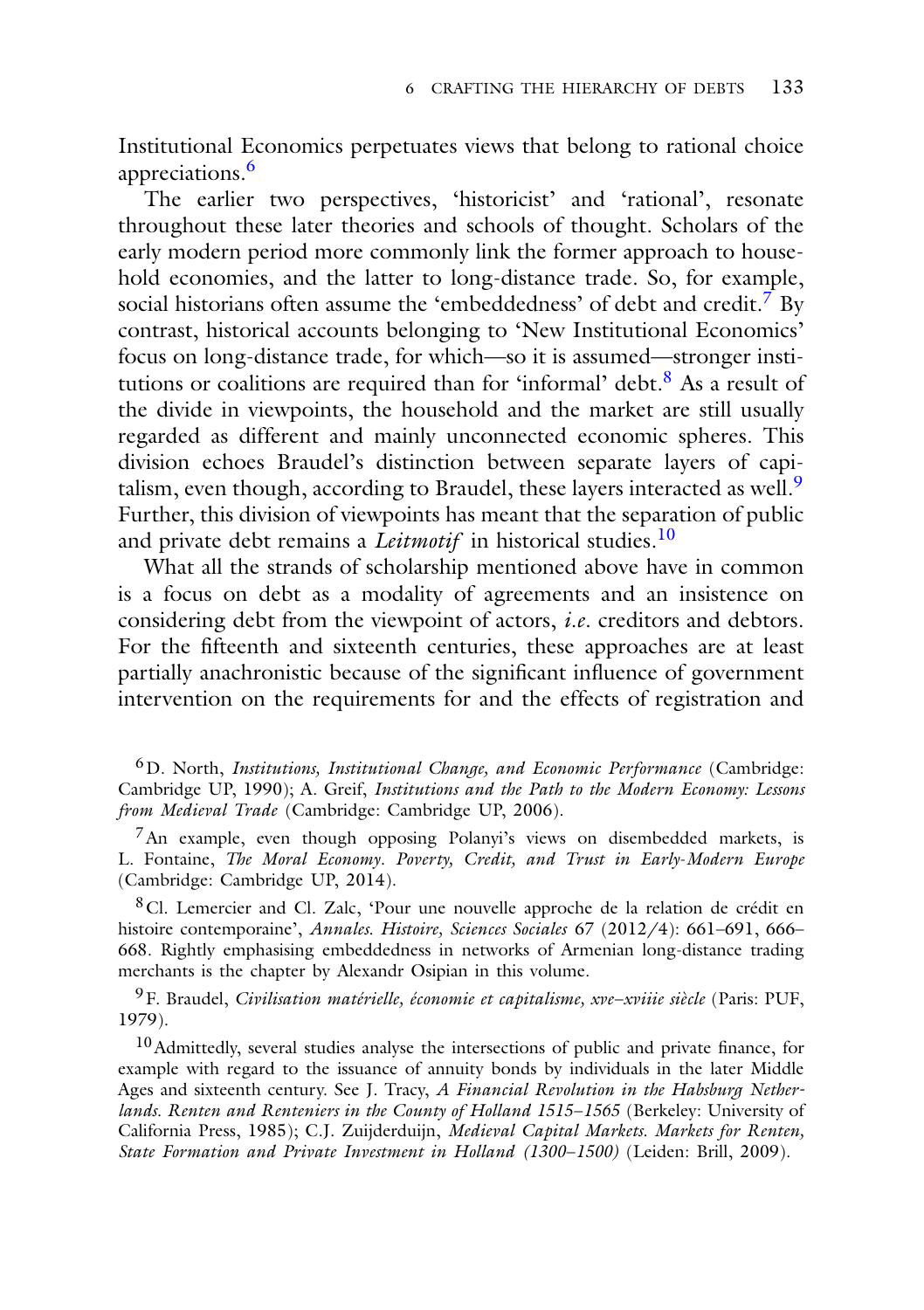Institutional Economics perpetuates views that belong to rational choice appreciations[.6](#page-2-0)

The earlier two perspectives, 'historicist' and 'rational', resonate throughout these later theories and schools of thought. Scholars of the early modern period more commonly link the former approach to household economies, and the latter to long-distance trade. So, for example, social historians often assume the 'embeddedness' of debt and credit.<sup> $\bar{7}$ </sup> By contrast, historical accounts belonging to 'New Institutional Economics' focus on long-distance trade, for which—so it is assumed—stronger insti-tutions or coalitions are required than for 'informal' debt.<sup>[8](#page-2-2)</sup> As a result of the divide in viewpoints, the household and the market are still usually regarded as different and mainly unconnected economic spheres. This division echoes Braudel's distinction between separate layers of capi-talism, even though, according to Braudel, these layers interacted as well.<sup>[9](#page-2-3)</sup> Further, this division of viewpoints has meant that the separation of public and private debt remains a *Leitmotif* in historical studies.<sup>[10](#page-2-4)</sup>

What all the strands of scholarship mentioned above have in common is a focus on debt as a modality of agreements and an insistence on considering debt from the viewpoint of actors, *i.e*. creditors and debtors. For the fifteenth and sixteenth centuries, these approaches are at least partially anachronistic because of the significant influence of government intervention on the requirements for and the effects of registration and

<span id="page-2-0"></span>6D. North, *Institutions, Institutional Change, and Economic Performance* (Cambridge: Cambridge UP, 1990); A. Greif, *Institutions and the Path to the Modern Economy: Lessons from Medieval Trade* (Cambridge: Cambridge UP, 2006).

<span id="page-2-1"></span>7An example, even though opposing Polanyi's views on disembedded markets, is L. Fontaine, *The Moral Economy*. *Poverty, Credit, and Trust in Early*-*Modern Europe* (Cambridge: Cambridge UP, 2014).

<span id="page-2-2"></span>8Cl. Lemercier and Cl. Zalc, 'Pour une nouvelle approche de la relation de crédit en histoire contemporaine', *Annales. Histoire, Sciences Sociales* 67 (2012/4): 661–691, 666– 668. Rightly emphasising embeddedness in networks of Armenian long-distance trading merchants is the chapter by Alexandr Osipian in this volume.

<span id="page-2-3"></span>9F. Braudel, *Civilisation matérielle, économie et capitalisme, xve*–*xviiie siècle* (Paris: PUF, 1979).

<span id="page-2-4"></span><sup>10</sup>Admittedly, several studies analyse the intersections of public and private finance, for example with regard to the issuance of annuity bonds by individuals in the later Middle Ages and sixteenth century. See J. Tracy, *A Financial Revolution in the Habsburg Netherlands. Renten and Renteniers in the County of Holland 1515*–*1565* (Berkeley: University of California Press, 1985); C.J. Zuijderduijn, *Medieval Capital Markets. Markets for Renten, State Formation and Private Investment in Holland (1300*–*1500)* (Leiden: Brill, 2009).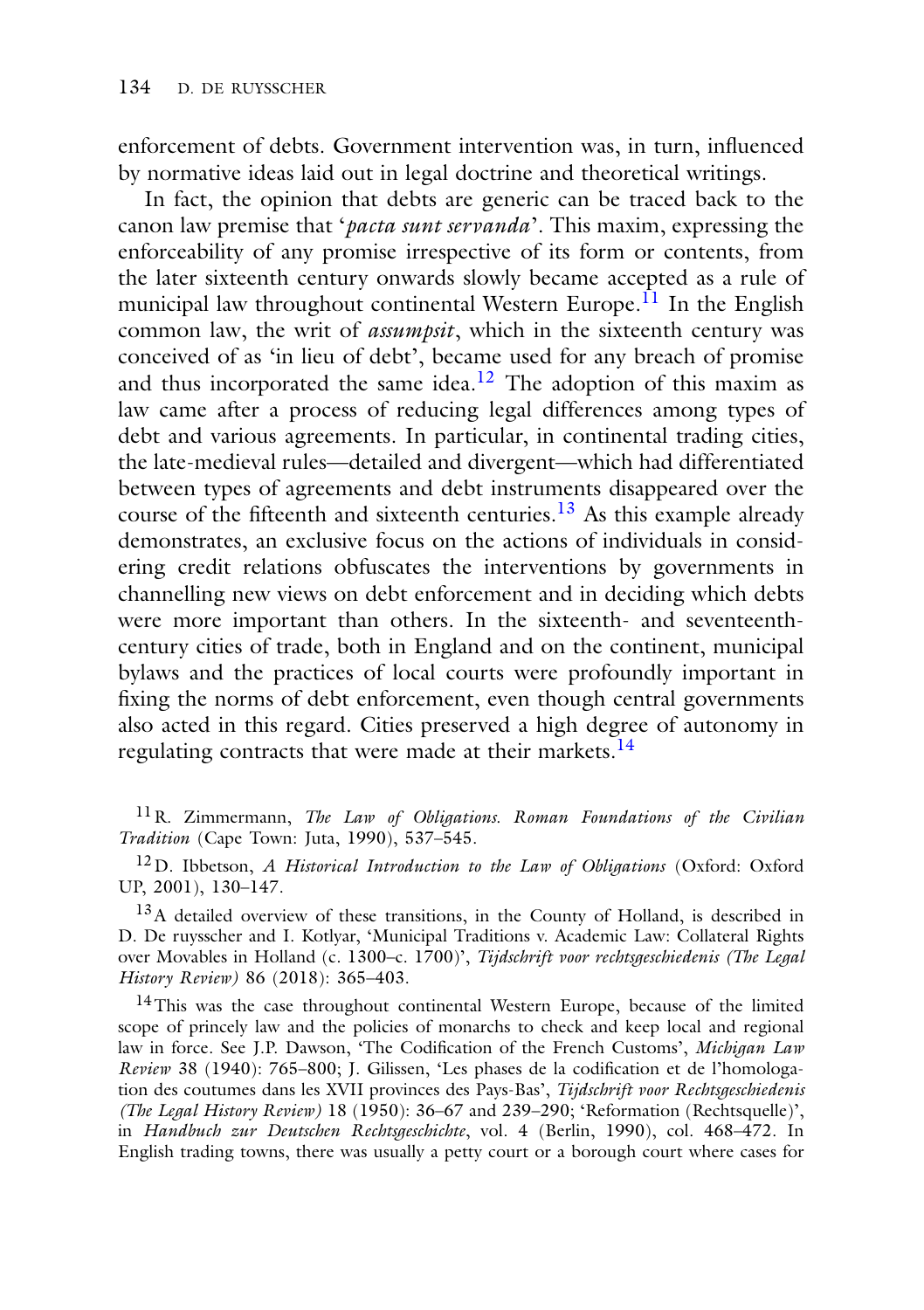enforcement of debts. Government intervention was, in turn, influenced by normative ideas laid out in legal doctrine and theoretical writings.

In fact, the opinion that debts are generic can be traced back to the canon law premise that '*pacta sunt servanda*'. This maxim, expressing the enforceability of any promise irrespective of its form or contents, from the later sixteenth century onwards slowly became accepted as a rule of municipal law throughout continental Western Europe.<sup>[11](#page-3-0)</sup> In the English common law, the writ of *assumpsit*, which in the sixteenth century was conceived of as 'in lieu of debt', became used for any breach of promise and thus incorporated the same idea.<sup>[12](#page-3-1)</sup> The adoption of this maxim as law came after a process of reducing legal differences among types of debt and various agreements. In particular, in continental trading cities, the late-medieval rules—detailed and divergent—which had differentiated between types of agreements and debt instruments disappeared over the course of the fifteenth and sixteenth centuries.<sup>13</sup> As this example already demonstrates, an exclusive focus on the actions of individuals in considering credit relations obfuscates the interventions by governments in channelling new views on debt enforcement and in deciding which debts were more important than others. In the sixteenth- and seventeenthcentury cities of trade, both in England and on the continent, municipal bylaws and the practices of local courts were profoundly important in fixing the norms of debt enforcement, even though central governments also acted in this regard. Cities preserved a high degree of autonomy in regulating contracts that were made at their markets.<sup>[14](#page-3-3)</sup>

<span id="page-3-0"></span>11R. Zimmermann, *The Law of Obligations. Roman Foundations of the Civilian Tradition* (Cape Town: Juta, 1990), 537–545.

<span id="page-3-1"></span>12D. Ibbetson, *A Historical Introduction to the Law of Obligations* (Oxford: Oxford UP, 2001), 130–147.

<span id="page-3-2"></span><sup>13</sup>A detailed overview of these transitions, in the County of Holland, is described in D. De ruysscher and I. Kotlyar, 'Municipal Traditions v. Academic Law: Collateral Rights over Movables in Holland (c. 1300–c. 1700)', *Tijdschrift voor rechtsgeschiedenis (The Legal History Review)* 86 (2018): 365–403.

<span id="page-3-3"></span><sup>14</sup>This was the case throughout continental Western Europe, because of the limited scope of princely law and the policies of monarchs to check and keep local and regional law in force. See J.P. Dawson, 'The Codification of the French Customs', *Michigan Law Review* 38 (1940): 765–800; J. Gilissen, 'Les phases de la codification et de l'homologation des coutumes dans les XVII provinces des Pays-Bas', *Tijdschrift voor Rechtsgeschiedenis (The Legal History Review)* 18 (1950): 36–67 and 239–290; 'Reformation (Rechtsquelle)', in *Handbuch zur Deutschen Rechtsgeschichte*, vol. 4 (Berlin, 1990), col. 468–472. In English trading towns, there was usually a petty court or a borough court where cases for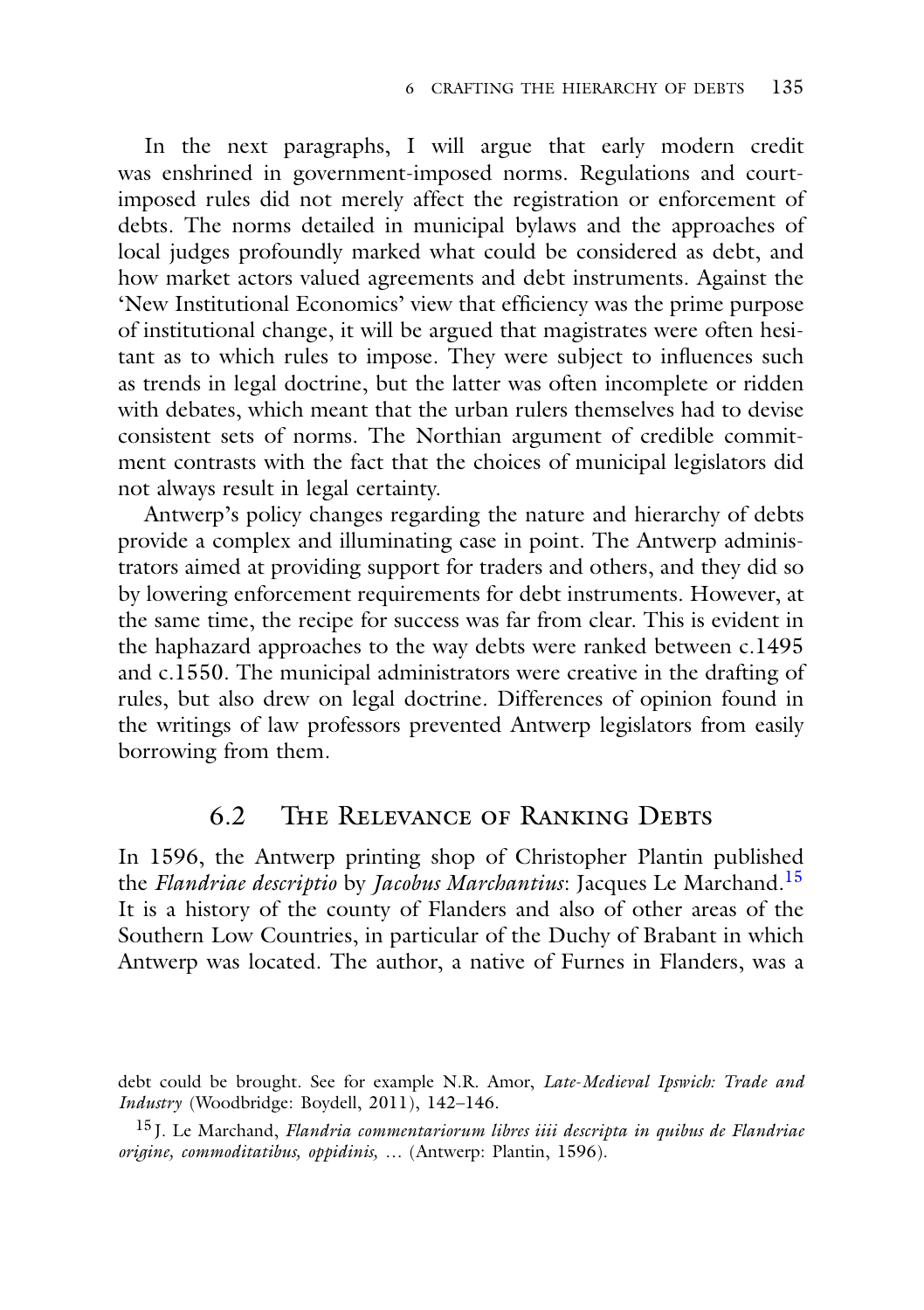In the next paragraphs, I will argue that early modern credit was enshrined in government-imposed norms. Regulations and courtimposed rules did not merely affect the registration or enforcement of debts. The norms detailed in municipal bylaws and the approaches of local judges profoundly marked what could be considered as debt, and how market actors valued agreements and debt instruments. Against the 'New Institutional Economics' view that efficiency was the prime purpose of institutional change, it will be argued that magistrates were often hesitant as to which rules to impose. They were subject to influences such as trends in legal doctrine, but the latter was often incomplete or ridden with debates, which meant that the urban rulers themselves had to devise consistent sets of norms. The Northian argument of credible commitment contrasts with the fact that the choices of municipal legislators did not always result in legal certainty.

Antwerp's policy changes regarding the nature and hierarchy of debts provide a complex and illuminating case in point. The Antwerp administrators aimed at providing support for traders and others, and they did so by lowering enforcement requirements for debt instruments. However, at the same time, the recipe for success was far from clear. This is evident in the haphazard approaches to the way debts were ranked between c.1495 and c.1550. The municipal administrators were creative in the drafting of rules, but also drew on legal doctrine. Differences of opinion found in the writings of law professors prevented Antwerp legislators from easily borrowing from them.

## 6.2 The Relevance of Ranking Debts

In 1596, the Antwerp printing shop of Christopher Plantin published the *Flandriae descriptio* by *Jacobus Marchantius*: Jacques Le Marchand[.15](#page-4-0) It is a history of the county of Flanders and also of other areas of the Southern Low Countries, in particular of the Duchy of Brabant in which Antwerp was located. The author, a native of Furnes in Flanders, was a

debt could be brought. See for example N.R. Amor, *Late*-*Medieval Ipswich: Trade and Industry* (Woodbridge: Boydell, 2011), 142–146.

<span id="page-4-0"></span><sup>15</sup> J. Le Marchand, *Flandria commentariorum libres iiii descripta in quibus de Flandriae origine, commoditatibus, oppidinis, …* (Antwerp: Plantin, 1596).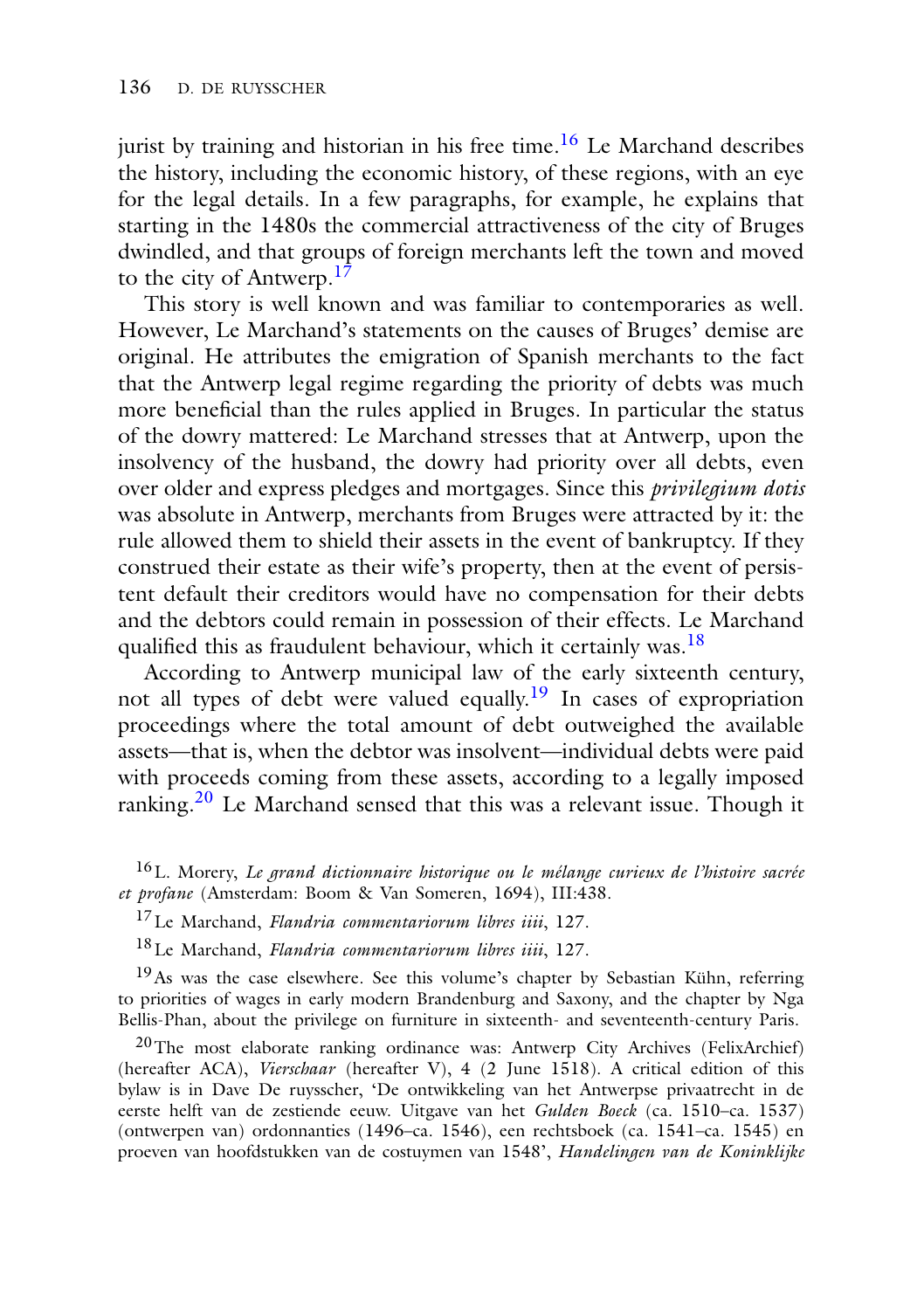jurist by training and historian in his free time.<sup>[16](#page-5-0)</sup> Le Marchand describes the history, including the economic history, of these regions, with an eye for the legal details. In a few paragraphs, for example, he explains that starting in the 1480s the commercial attractiveness of the city of Bruges dwindled, and that groups of foreign merchants left the town and moved to the city of Antwerp. $1\overline{7}$ 

This story is well known and was familiar to contemporaries as well. However, Le Marchand's statements on the causes of Bruges' demise are original. He attributes the emigration of Spanish merchants to the fact that the Antwerp legal regime regarding the priority of debts was much more beneficial than the rules applied in Bruges. In particular the status of the dowry mattered: Le Marchand stresses that at Antwerp, upon the insolvency of the husband, the dowry had priority over all debts, even over older and express pledges and mortgages. Since this *privilegium dotis* was absolute in Antwerp, merchants from Bruges were attracted by it: the rule allowed them to shield their assets in the event of bankruptcy. If they construed their estate as their wife's property, then at the event of persistent default their creditors would have no compensation for their debts and the debtors could remain in possession of their effects. Le Marchand qualified this as fraudulent behaviour, which it certainly was.<sup>18</sup>

According to Antwerp municipal law of the early sixteenth century, not all types of debt were valued equally.[19](#page-5-3) In cases of expropriation proceedings where the total amount of debt outweighed the available assets—that is, when the debtor was insolvent—individual debts were paid with proceeds coming from these assets, according to a legally imposed ranking.<sup>20</sup> Le Marchand sensed that this was a relevant issue. Though it

<span id="page-5-0"></span>16L. Morery, *Le grand dictionnaire historique ou le mélange curieux de l'histoire sacrée et profane* (Amsterdam: Boom & Van Someren, 1694), III:438.

<span id="page-5-1"></span>17Le Marchand, *Flandria commentariorum libres iiii*, 127.

<span id="page-5-3"></span><span id="page-5-2"></span>18Le Marchand, *Flandria commentariorum libres iiii*, 127.

19As was the case elsewhere. See this volume's chapter by Sebastian Kühn, referring to priorities of wages in early modern Brandenburg and Saxony, and the chapter by Nga Bellis-Phan, about the privilege on furniture in sixteenth- and seventeenth-century Paris.

<span id="page-5-4"></span>20The most elaborate ranking ordinance was: Antwerp City Archives (FelixArchief) (hereafter ACA), *Vierschaar* (hereafter V), 4 (2 June 1518). A critical edition of this bylaw is in Dave De ruysscher, 'De ontwikkeling van het Antwerpse privaatrecht in de eerste helft van de zestiende eeuw. Uitgave van het *Gulden Boeck* (ca. 1510–ca. 1537) (ontwerpen van) ordonnanties (1496–ca. 1546), een rechtsboek (ca. 1541–ca. 1545) en proeven van hoofdstukken van de costuymen van 1548', *Handelingen van de Koninklijke*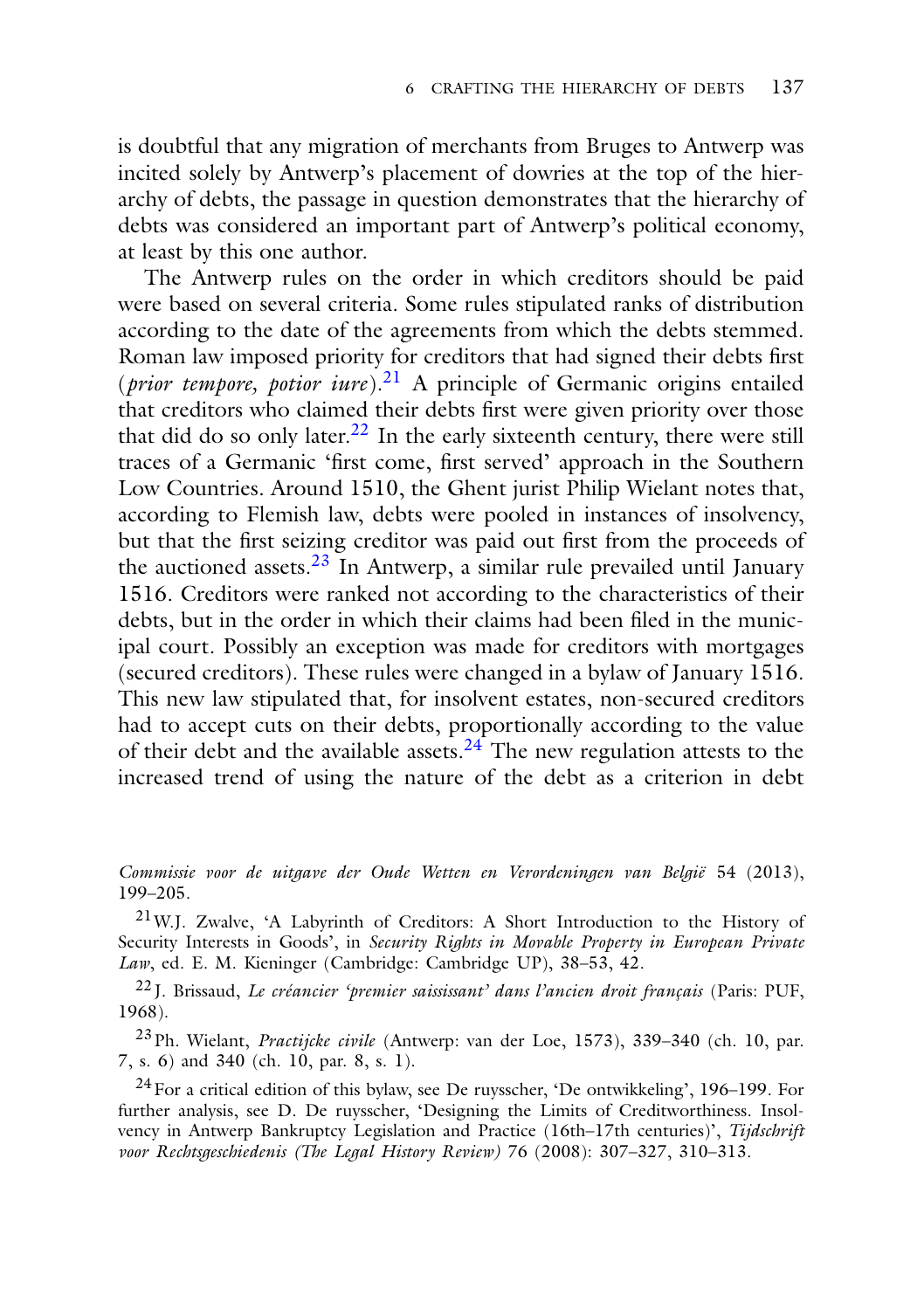is doubtful that any migration of merchants from Bruges to Antwerp was incited solely by Antwerp's placement of dowries at the top of the hierarchy of debts, the passage in question demonstrates that the hierarchy of debts was considered an important part of Antwerp's political economy, at least by this one author.

The Antwerp rules on the order in which creditors should be paid were based on several criteria. Some rules stipulated ranks of distribution according to the date of the agreements from which the debts stemmed. Roman law imposed priority for creditors that had signed their debts first (*prior tempore, potior iure*)[.21](#page-6-0) A principle of Germanic origins entailed that creditors who claimed their debts first were given priority over those that did do so only later.<sup>22</sup> In the early sixteenth century, there were still traces of a Germanic 'first come, first served' approach in the Southern Low Countries. Around 1510, the Ghent jurist Philip Wielant notes that, according to Flemish law, debts were pooled in instances of insolvency, but that the first seizing creditor was paid out first from the proceeds of the auctioned assets.<sup>23</sup> In Antwerp, a similar rule prevailed until January 1516. Creditors were ranked not according to the characteristics of their debts, but in the order in which their claims had been filed in the municipal court. Possibly an exception was made for creditors with mortgages (secured creditors). These rules were changed in a bylaw of January 1516. This new law stipulated that, for insolvent estates, non-secured creditors had to accept cuts on their debts, proportionally according to the value of their debt and the available assets.<sup>24</sup> The new regulation attests to the increased trend of using the nature of the debt as a criterion in debt

*Commissie voor de uitgave der Oude Wetten en Verordeningen van België* 54 (2013), 199–205.

<span id="page-6-0"></span>21W.J. Zwalve, 'A Labyrinth of Creditors: A Short Introduction to the History of Security Interests in Goods', in *Security Rights in Movable Property in European Private Law*, ed. E. M. Kieninger (Cambridge: Cambridge UP), 38–53, 42.

<span id="page-6-1"></span><sup>22</sup> J. Brissaud, *Le créancier 'premier saississant' dans l'ancien droit français* (Paris: PUF, 1968).

<span id="page-6-2"></span>23Ph. Wielant, *Practijcke civile* (Antwerp: van der Loe, 1573), 339–340 (ch. 10, par. 7, s. 6) and 340 (ch. 10, par. 8, s. 1).

<span id="page-6-3"></span> $^{24}$  For a critical edition of this bylaw, see De ruysscher, 'De ontwikkeling', 196–199. For further analysis, see D. De ruysscher, 'Designing the Limits of Creditworthiness. Insolvency in Antwerp Bankruptcy Legislation and Practice (16th–17th centuries)', *Tijdschrift voor Rechtsgeschiedenis (The Legal History Review)* 76 (2008): 307–327, 310–313.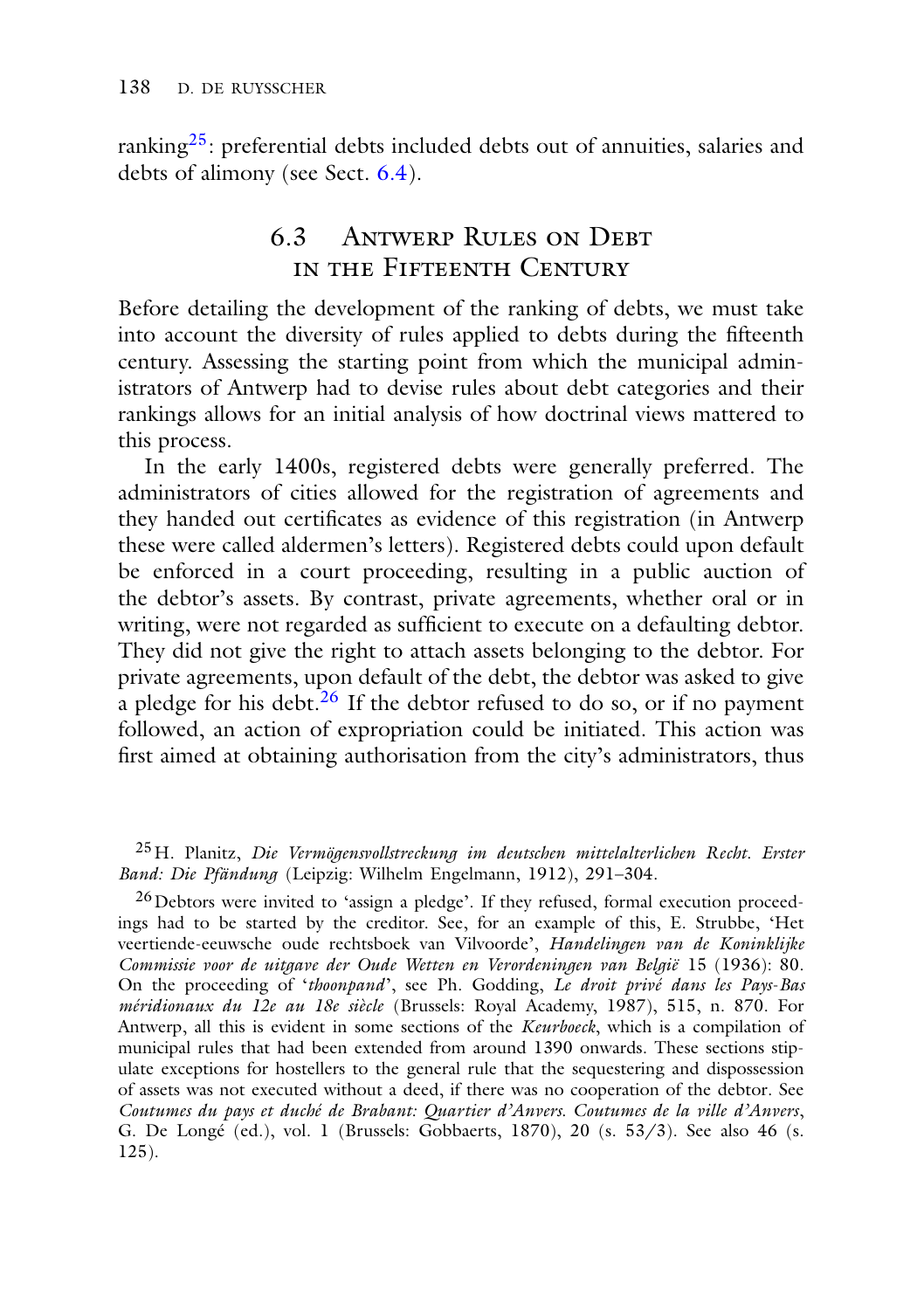ranking $2^5$ : preferential debts included debts out of annuities, salaries and debts of alimony (see Sect. [6.4\)](#page-12-0).

# 6.3 Antwerp Rules on Debt in the Fifteenth Century

Before detailing the development of the ranking of debts, we must take into account the diversity of rules applied to debts during the fifteenth century. Assessing the starting point from which the municipal administrators of Antwerp had to devise rules about debt categories and their rankings allows for an initial analysis of how doctrinal views mattered to this process.

In the early 1400s, registered debts were generally preferred. The administrators of cities allowed for the registration of agreements and they handed out certificates as evidence of this registration (in Antwerp these were called aldermen's letters). Registered debts could upon default be enforced in a court proceeding, resulting in a public auction of the debtor's assets. By contrast, private agreements, whether oral or in writing, were not regarded as sufficient to execute on a defaulting debtor. They did not give the right to attach assets belonging to the debtor. For private agreements, upon default of the debt, the debtor was asked to give a pledge for his debt.<sup>[26](#page-7-1)</sup> If the debtor refused to do so, or if no payment followed, an action of expropriation could be initiated. This action was first aimed at obtaining authorisation from the city's administrators, thus

<span id="page-7-0"></span>25H. Planitz, *Die Vermögensvollstreckung im deutschen mittelalterlichen Recht. Erster Band: Die Pfändung* (Leipzig: Wilhelm Engelmann, 1912), 291–304.

<span id="page-7-1"></span><sup>26</sup>Debtors were invited to 'assign a pledge'. If they refused, formal execution proceedings had to be started by the creditor. See, for an example of this, E. Strubbe, 'Het veertiende-eeuwsche oude rechtsboek van Vilvoorde', *Handelingen van de Koninklijke Commissie voor de uitgave der Oude Wetten en Verordeningen van België* 15 (1936): 80. On the proceeding of '*thoonpand*', see Ph. Godding, *Le droit privé dans les Pays*-*Bas méridionaux du 12e au 18e siècle* (Brussels: Royal Academy, 1987), 515, n. 870. For Antwerp, all this is evident in some sections of the *Keurboeck*, which is a compilation of municipal rules that had been extended from around 1390 onwards. These sections stipulate exceptions for hostellers to the general rule that the sequestering and dispossession of assets was not executed without a deed, if there was no cooperation of the debtor. See *Coutumes du pays et duché de Brabant: Quartier d'Anvers. Coutumes de la ville d'Anvers*, G. De Longé (ed.), vol. 1 (Brussels: Gobbaerts, 1870), 20 (s. 53/3). See also 46 (s. 125).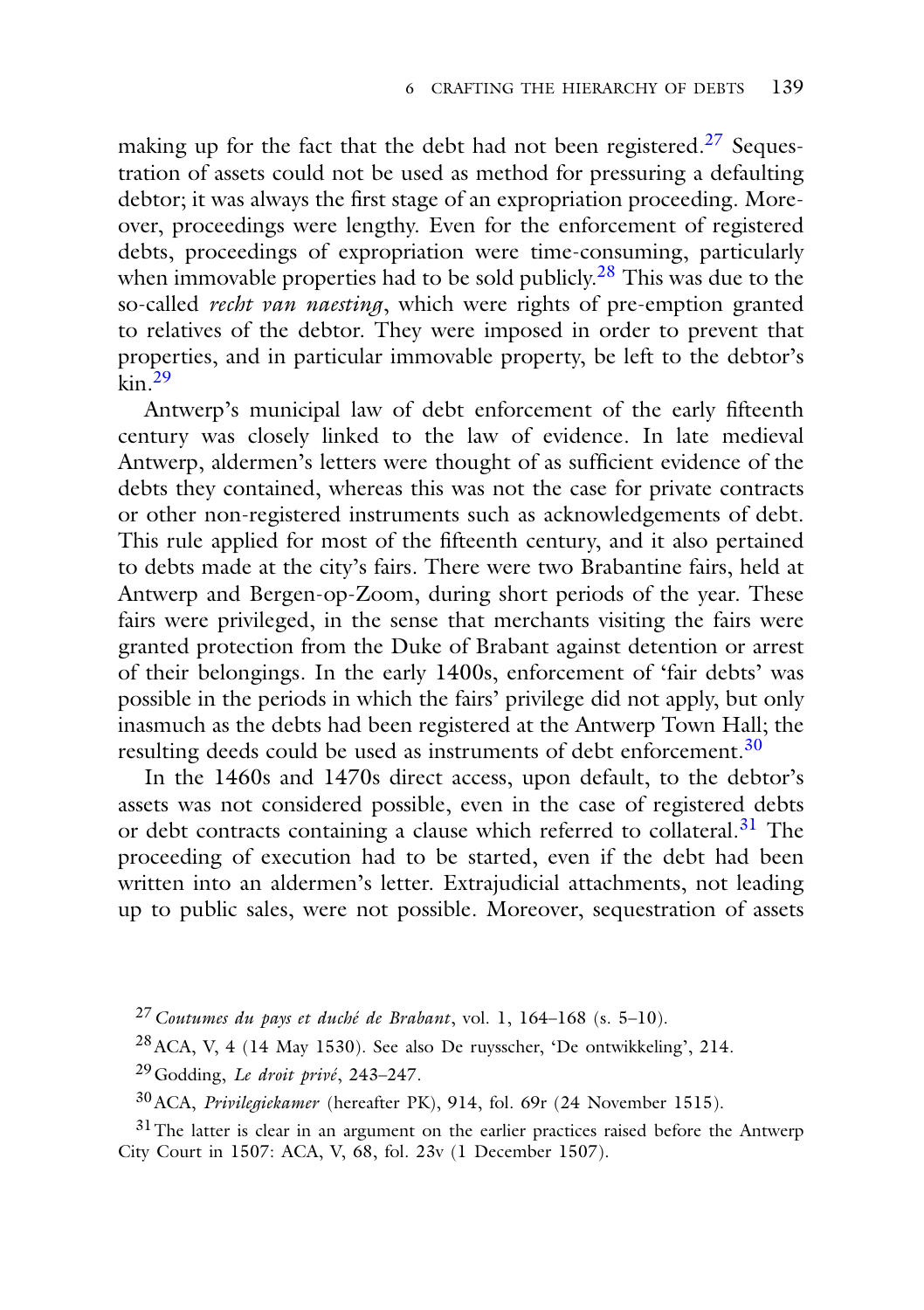making up for the fact that the debt had not been registered.<sup>[27](#page-8-0)</sup> Sequestration of assets could not be used as method for pressuring a defaulting debtor; it was always the first stage of an expropriation proceeding. Moreover, proceedings were lengthy. Even for the enforcement of registered debts, proceedings of expropriation were time-consuming, particularly when immovable properties had to be sold publicly.<sup>[28](#page-8-1)</sup> This was due to the so-called *recht van naesting*, which were rights of pre-emption granted to relatives of the debtor. They were imposed in order to prevent that properties, and in particular immovable property, be left to the debtor's  $\overline{\text{kin}}$ .<sup>29</sup>

Antwerp's municipal law of debt enforcement of the early fifteenth century was closely linked to the law of evidence. In late medieval Antwerp, aldermen's letters were thought of as sufficient evidence of the debts they contained, whereas this was not the case for private contracts or other non-registered instruments such as acknowledgements of debt. This rule applied for most of the fifteenth century, and it also pertained to debts made at the city's fairs. There were two Brabantine fairs, held at Antwerp and Bergen-op-Zoom, during short periods of the year. These fairs were privileged, in the sense that merchants visiting the fairs were granted protection from the Duke of Brabant against detention or arrest of their belongings. In the early 1400s, enforcement of 'fair debts' was possible in the periods in which the fairs' privilege did not apply, but only inasmuch as the debts had been registered at the Antwerp Town Hall; the resulting deeds could be used as instruments of debt enforcement.<sup>[30](#page-8-3)</sup>

In the 1460s and 1470s direct access, upon default, to the debtor's assets was not considered possible, even in the case of registered debts or debt contracts containing a clause which referred to collateral.<sup>[31](#page-8-4)</sup> The proceeding of execution had to be started, even if the debt had been written into an aldermen's letter. Extrajudicial attachments, not leading up to public sales, were not possible. Moreover, sequestration of assets

<span id="page-8-4"></span><span id="page-8-3"></span>30ACA, *Privilegiekamer* (hereafter PK), 914, fol. 69r (24 November 1515).

<sup>31</sup>The latter is clear in an argument on the earlier practices raised before the Antwerp City Court in 1507: ACA, V, 68, fol. 23v (1 December 1507).

<span id="page-8-0"></span><sup>27</sup>*Coutumes du pays et duché de Brabant*, vol. 1, 164–168 (s. 5–10).

<span id="page-8-1"></span><sup>28</sup>ACA, V, 4 (14 May 1530). See also De ruysscher, 'De ontwikkeling', 214.

<span id="page-8-2"></span><sup>29</sup>Godding, *Le droit privé*, 243–247.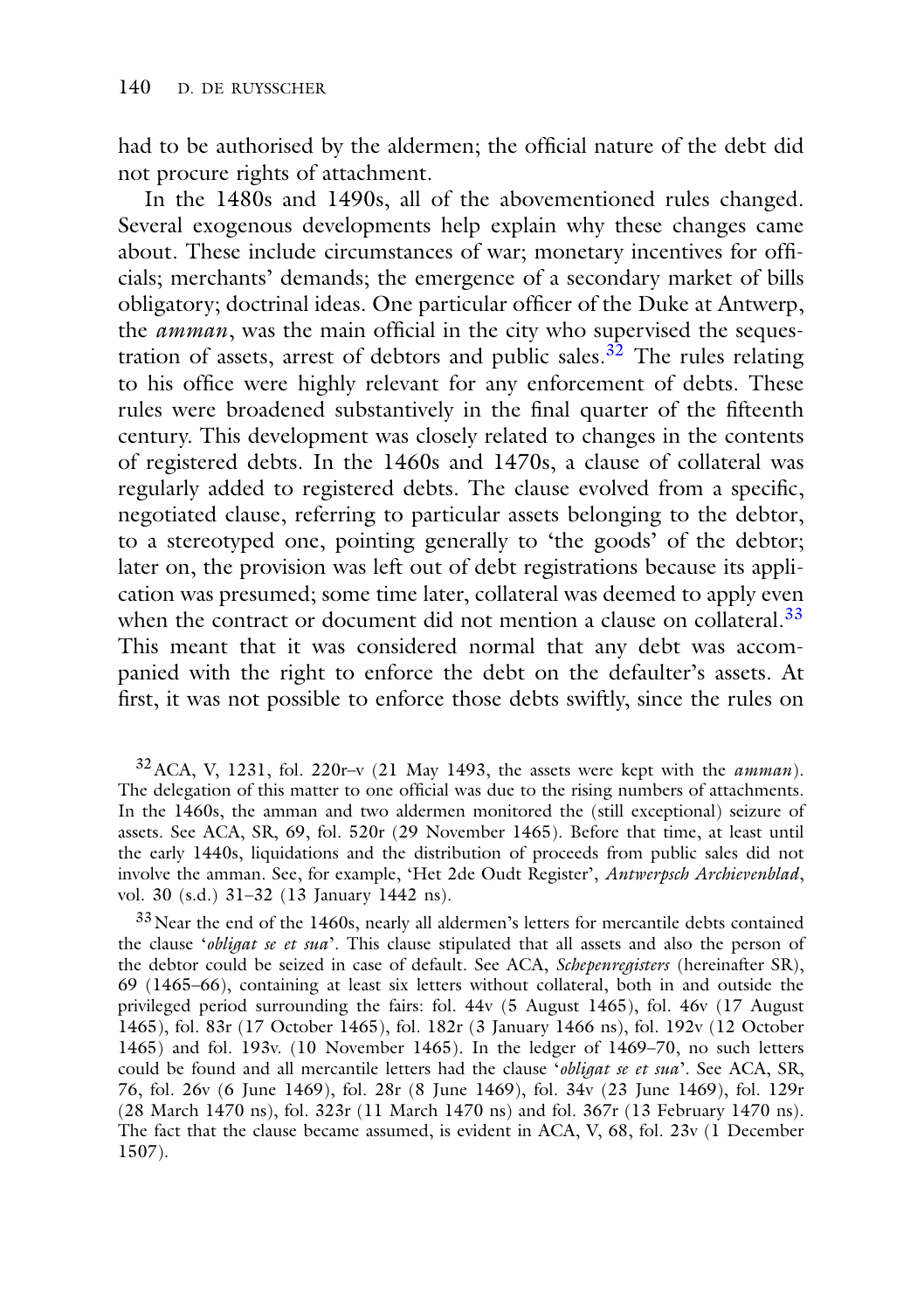had to be authorised by the aldermen; the official nature of the debt did not procure rights of attachment.

In the 1480s and 1490s, all of the abovementioned rules changed. Several exogenous developments help explain why these changes came about. These include circumstances of war; monetary incentives for officials; merchants' demands; the emergence of a secondary market of bills obligatory; doctrinal ideas. One particular officer of the Duke at Antwerp, the *amman*, was the main official in the city who supervised the sequestration of assets, arrest of debtors and public sales.<sup>32</sup> The rules relating to his office were highly relevant for any enforcement of debts. These rules were broadened substantively in the final quarter of the fifteenth century. This development was closely related to changes in the contents of registered debts. In the 1460s and 1470s, a clause of collateral was regularly added to registered debts. The clause evolved from a specific, negotiated clause, referring to particular assets belonging to the debtor, to a stereotyped one, pointing generally to 'the goods' of the debtor; later on, the provision was left out of debt registrations because its application was presumed; some time later, collateral was deemed to apply even when the contract or document did not mention a clause on collateral.<sup>33</sup> This meant that it was considered normal that any debt was accompanied with the right to enforce the debt on the defaulter's assets. At first, it was not possible to enforce those debts swiftly, since the rules on

<span id="page-9-0"></span>32ACA, V, 1231, fol. 220r–v (21 May 1493, the assets were kept with the *amman*). The delegation of this matter to one official was due to the rising numbers of attachments. In the 1460s, the amman and two aldermen monitored the (still exceptional) seizure of assets. See ACA, SR, 69, fol. 520r (29 November 1465). Before that time, at least until the early 1440s, liquidations and the distribution of proceeds from public sales did not involve the amman. See, for example, 'Het 2de Oudt Register', *Antwerpsch Archievenblad*, vol. 30 (s.d.) 31–32 (13 January 1442 ns).

<span id="page-9-1"></span><sup>33</sup> Near the end of the 1460s, nearly all aldermen's letters for mercantile debts contained the clause '*obligat se et sua*'. This clause stipulated that all assets and also the person of the debtor could be seized in case of default. See ACA, *Schepenregisters* (hereinafter SR), 69 (1465–66), containing at least six letters without collateral, both in and outside the privileged period surrounding the fairs: fol. 44v (5 August 1465), fol. 46v (17 August 1465), fol. 83r (17 October 1465), fol. 182r (3 January 1466 ns), fol. 192v (12 October 1465) and fol. 193v. (10 November 1465). In the ledger of 1469–70, no such letters could be found and all mercantile letters had the clause '*obligat se et sua*'. See ACA, SR, 76, fol. 26v (6 June 1469), fol. 28r (8 June 1469), fol. 34v (23 June 1469), fol. 129r (28 March 1470 ns), fol. 323r (11 March 1470 ns) and fol. 367r (13 February 1470 ns). The fact that the clause became assumed, is evident in ACA, V, 68, fol. 23v (1 December 1507).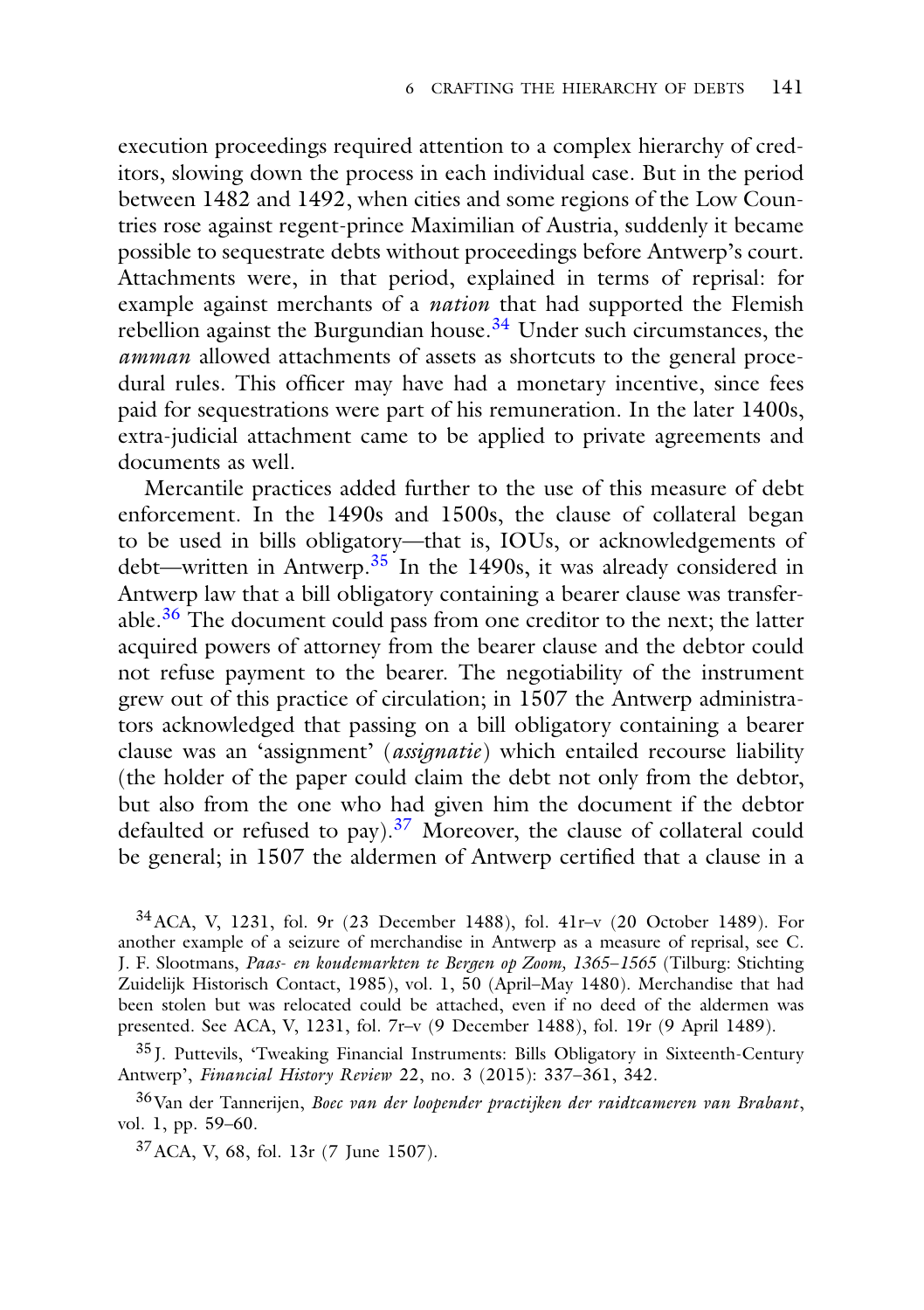execution proceedings required attention to a complex hierarchy of creditors, slowing down the process in each individual case. But in the period between 1482 and 1492, when cities and some regions of the Low Countries rose against regent-prince Maximilian of Austria, suddenly it became possible to sequestrate debts without proceedings before Antwerp's court. Attachments were, in that period, explained in terms of reprisal: for example against merchants of a *nation* that had supported the Flemish rebellion against the Burgundian house.<sup>34</sup> Under such circumstances, the *amman* allowed attachments of assets as shortcuts to the general procedural rules. This officer may have had a monetary incentive, since fees paid for sequestrations were part of his remuneration. In the later 1400s, extra-judicial attachment came to be applied to private agreements and documents as well.

Mercantile practices added further to the use of this measure of debt enforcement. In the 1490s and 1500s, the clause of collateral began to be used in bills obligatory—that is, IOUs, or acknowledgements of debt—written in Antwerp.<sup>35</sup> In the 1490s, it was already considered in Antwerp law that a bill obligatory containing a bearer clause was transferable.[36](#page-10-2) The document could pass from one creditor to the next; the latter acquired powers of attorney from the bearer clause and the debtor could not refuse payment to the bearer. The negotiability of the instrument grew out of this practice of circulation; in 1507 the Antwerp administrators acknowledged that passing on a bill obligatory containing a bearer clause was an 'assignment' (*assignatie*) which entailed recourse liability (the holder of the paper could claim the debt not only from the debtor, but also from the one who had given him the document if the debtor defaulted or refused to pay).<sup>37</sup> Moreover, the clause of collateral could be general; in 1507 the aldermen of Antwerp certified that a clause in a

<span id="page-10-0"></span>34ACA, V, 1231, fol. 9r (23 December 1488), fol. 41r–v (20 October 1489). For another example of a seizure of merchandise in Antwerp as a measure of reprisal, see C. J. F. Slootmans, *Paas*- *en koudemarkten te Bergen op Zoom, 1365*–*1565* (Tilburg: Stichting Zuidelijk Historisch Contact, 1985), vol. 1, 50 (April–May 1480). Merchandise that had been stolen but was relocated could be attached, even if no deed of the aldermen was presented. See ACA, V, 1231, fol. 7r–v (9 December 1488), fol. 19r (9 April 1489).

<span id="page-10-1"></span><sup>35</sup> J. Puttevils, 'Tweaking Financial Instruments: Bills Obligatory in Sixteenth-Century Antwerp', *Financial History Review* 22, no. 3 (2015): 337–361, 342.

<span id="page-10-2"></span>36Van der Tannerijen, *Boec van der loopender practijken der raidtcameren van Brabant*, vol. 1, pp. 59–60.

<span id="page-10-3"></span>37ACA, V, 68, fol. 13r (7 June 1507).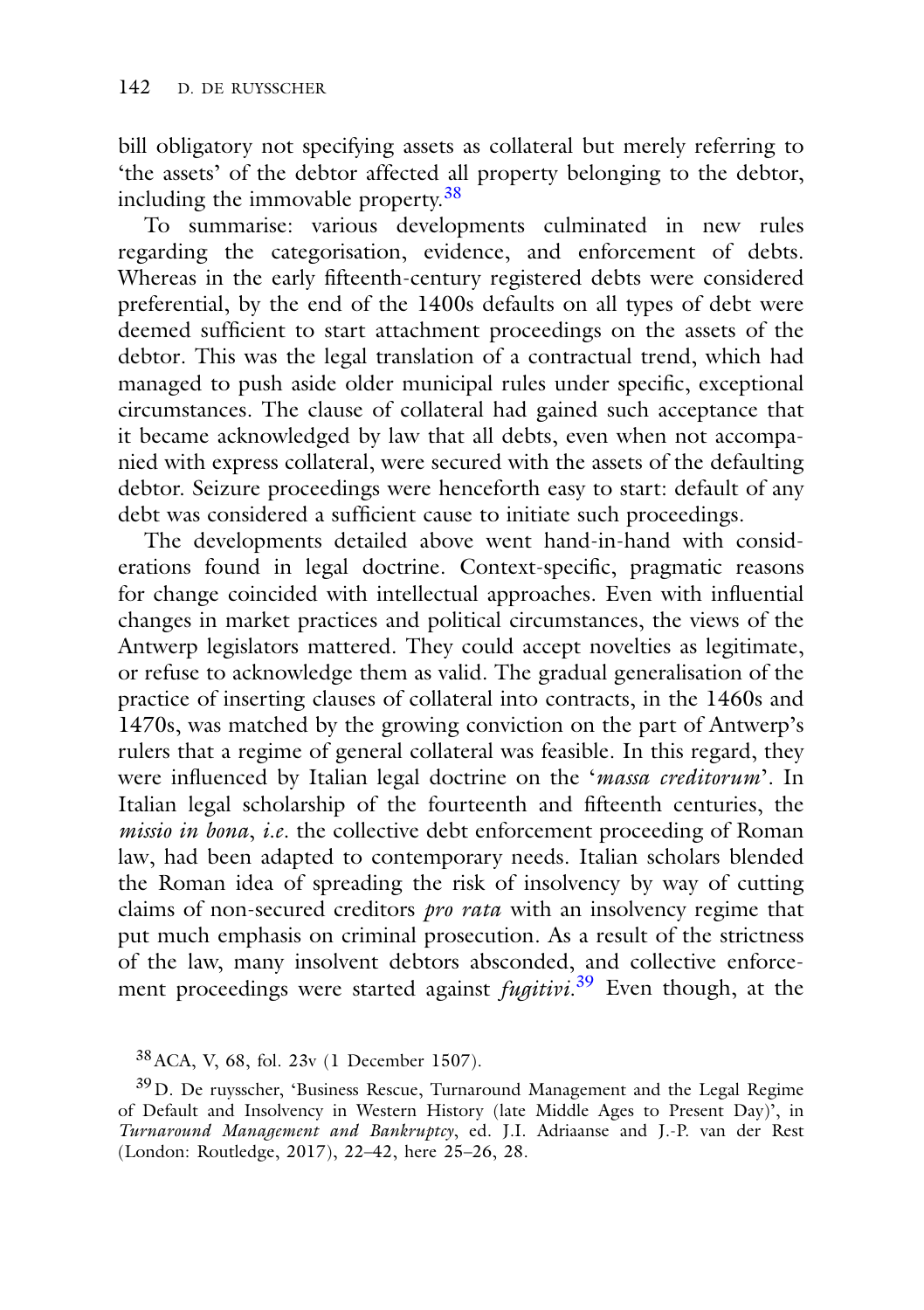bill obligatory not specifying assets as collateral but merely referring to 'the assets' of the debtor affected all property belonging to the debtor, including the immovable property.[38](#page-11-0)

To summarise: various developments culminated in new rules regarding the categorisation, evidence, and enforcement of debts. Whereas in the early fifteenth-century registered debts were considered preferential, by the end of the 1400s defaults on all types of debt were deemed sufficient to start attachment proceedings on the assets of the debtor. This was the legal translation of a contractual trend, which had managed to push aside older municipal rules under specific, exceptional circumstances. The clause of collateral had gained such acceptance that it became acknowledged by law that all debts, even when not accompanied with express collateral, were secured with the assets of the defaulting debtor. Seizure proceedings were henceforth easy to start: default of any debt was considered a sufficient cause to initiate such proceedings.

The developments detailed above went hand-in-hand with considerations found in legal doctrine. Context-specific, pragmatic reasons for change coincided with intellectual approaches. Even with influential changes in market practices and political circumstances, the views of the Antwerp legislators mattered. They could accept novelties as legitimate, or refuse to acknowledge them as valid. The gradual generalisation of the practice of inserting clauses of collateral into contracts, in the 1460s and 1470s, was matched by the growing conviction on the part of Antwerp's rulers that a regime of general collateral was feasible. In this regard, they were influenced by Italian legal doctrine on the '*massa creditorum*'. In Italian legal scholarship of the fourteenth and fifteenth centuries, the *missio in bona*, *i.e*. the collective debt enforcement proceeding of Roman law, had been adapted to contemporary needs. Italian scholars blended the Roman idea of spreading the risk of insolvency by way of cutting claims of non-secured creditors *pro rata* with an insolvency regime that put much emphasis on criminal prosecution. As a result of the strictness of the law, many insolvent debtors absconded, and collective enforcement proceedings were started against *fugitivi*. [39](#page-11-1) Even though, at the

<span id="page-11-1"></span><span id="page-11-0"></span>38ACA, V, 68, fol. 23v (1 December 1507).

<sup>39</sup>D. De ruysscher, 'Business Rescue, Turnaround Management and the Legal Regime of Default and Insolvency in Western History (late Middle Ages to Present Day)', in *Turnaround Management and Bankruptcy*, ed. J.I. Adriaanse and J.-P. van der Rest (London: Routledge, 2017), 22–42, here 25–26, 28.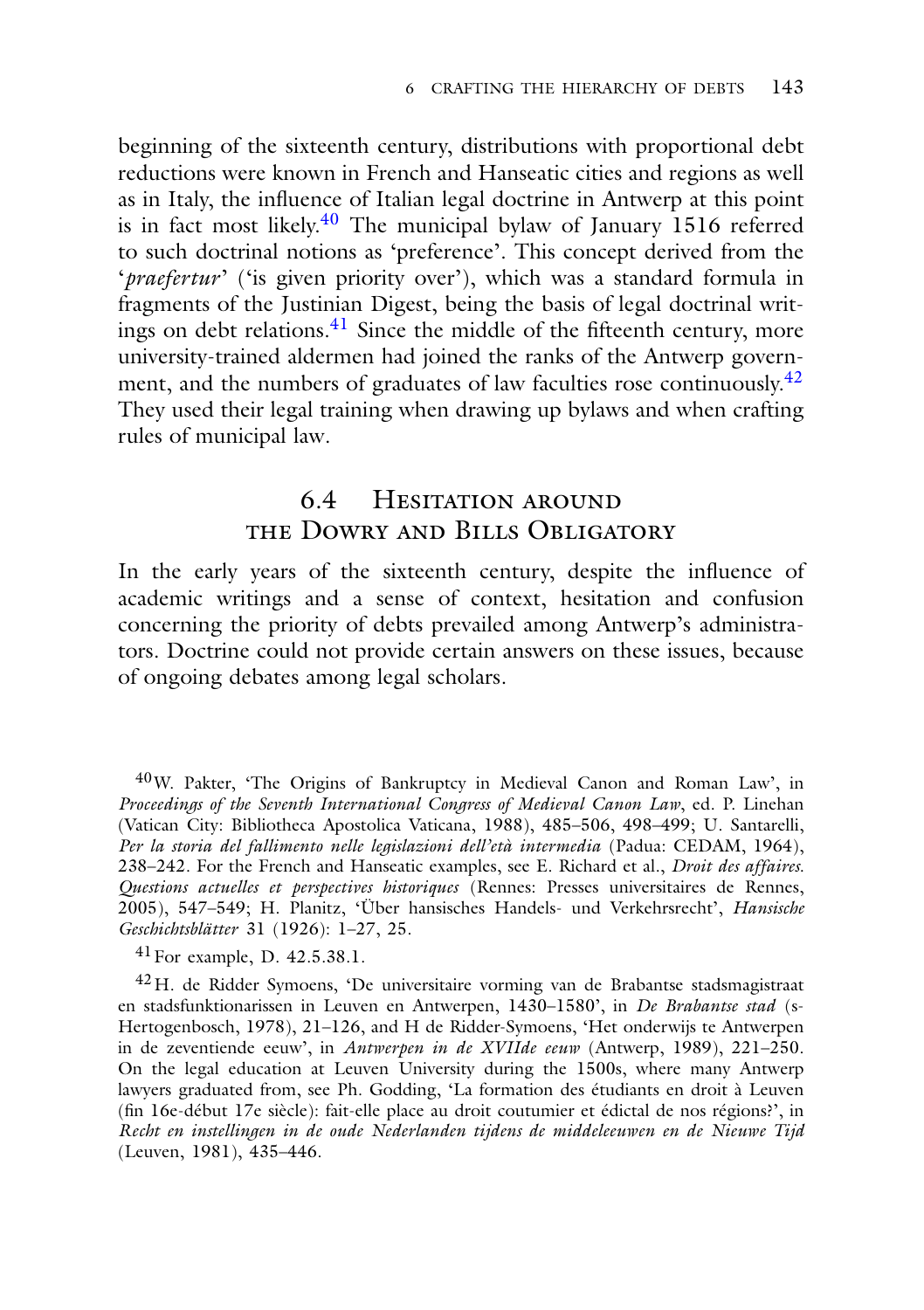beginning of the sixteenth century, distributions with proportional debt reductions were known in French and Hanseatic cities and regions as well as in Italy, the influence of Italian legal doctrine in Antwerp at this point is in fact most likely. $40$  The municipal bylaw of January 1516 referred to such doctrinal notions as 'preference'. This concept derived from the '*praefertur*' ('is given priority over'), which was a standard formula in fragments of the Justinian Digest, being the basis of legal doctrinal writings on debt relations. $41$  Since the middle of the fifteenth century, more university-trained aldermen had joined the ranks of the Antwerp government, and the numbers of graduates of law faculties rose continuously.  $42$ They used their legal training when drawing up bylaws and when crafting rules of municipal law.

# 6.4 Hesitation around the Dowry and Bills Obligatory

<span id="page-12-0"></span>In the early years of the sixteenth century, despite the influence of academic writings and a sense of context, hesitation and confusion concerning the priority of debts prevailed among Antwerp's administrators. Doctrine could not provide certain answers on these issues, because of ongoing debates among legal scholars.

<span id="page-12-1"></span>40W. Pakter, 'The Origins of Bankruptcy in Medieval Canon and Roman Law', in *Proceedings of the Seventh International Congress of Medieval Canon Law*, ed. P. Linehan (Vatican City: Bibliotheca Apostolica Vaticana, 1988), 485–506, 498–499; U. Santarelli, *Per la storia del fallimento nelle legislazioni dell'età intermedia* (Padua: CEDAM, 1964), 238–242. For the French and Hanseatic examples, see E. Richard et al., *Droit des affaires. Questions actuelles et perspectives historiques* (Rennes: Presses universitaires de Rennes, 2005), 547–549; H. Planitz, 'Über hansisches Handels- und Verkehrsrecht', *Hansische Geschichtsblätter* 31 (1926): 1–27, 25.

<span id="page-12-3"></span><span id="page-12-2"></span>41For example, D. 42.5.38.1.

<sup>42</sup>H. de Ridder Symoens, 'De universitaire vorming van de Brabantse stadsmagistraat en stadsfunktionarissen in Leuven en Antwerpen, 1430–1580', in *De Brabantse stad* (s-Hertogenbosch, 1978), 21–126, and H de Ridder-Symoens, 'Het onderwijs te Antwerpen in de zeventiende eeuw', in *Antwerpen in de XVIIde eeuw* (Antwerp, 1989), 221–250. On the legal education at Leuven University during the 1500s, where many Antwerp lawyers graduated from, see Ph. Godding, 'La formation des étudiants en droit à Leuven (fin 16e-début 17e siècle): fait-elle place au droit coutumier et édictal de nos régions?', in *Recht en instellingen in de oude Nederlanden tijdens de middeleeuwen en de Nieuwe Tijd* (Leuven, 1981), 435–446.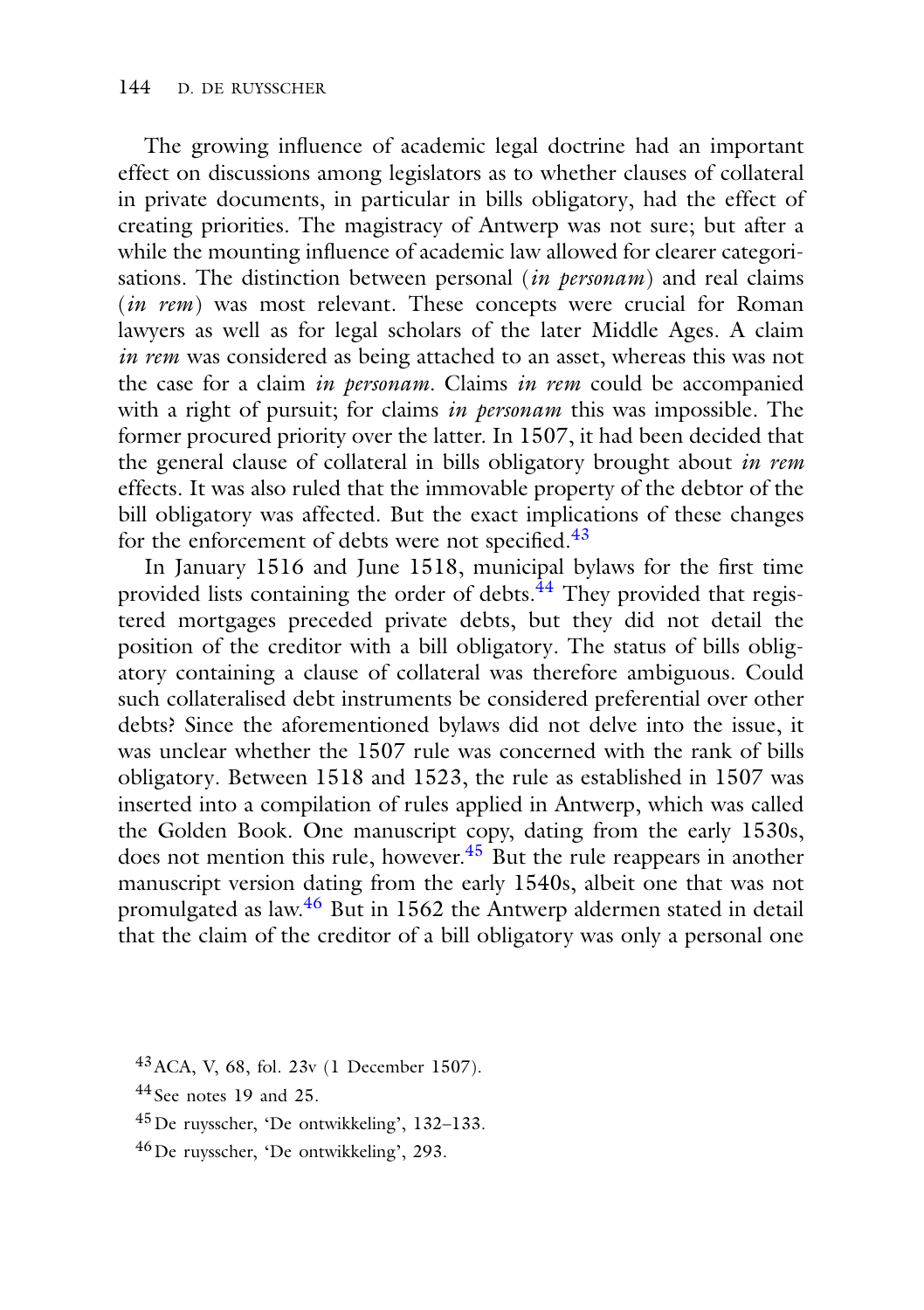The growing influence of academic legal doctrine had an important effect on discussions among legislators as to whether clauses of collateral in private documents, in particular in bills obligatory, had the effect of creating priorities. The magistracy of Antwerp was not sure; but after a while the mounting influence of academic law allowed for clearer categorisations. The distinction between personal (*in personam*) and real claims (*in rem*) was most relevant. These concepts were crucial for Roman lawyers as well as for legal scholars of the later Middle Ages. A claim *in rem* was considered as being attached to an asset, whereas this was not the case for a claim *in personam*. Claims *in rem* could be accompanied with a right of pursuit; for claims *in personam* this was impossible. The former procured priority over the latter. In 1507, it had been decided that the general clause of collateral in bills obligatory brought about *in rem* effects. It was also ruled that the immovable property of the debtor of the bill obligatory was affected. But the exact implications of these changes for the enforcement of debts were not specified.<sup>[43](#page-13-0)</sup>

In January 1516 and June 1518, municipal bylaws for the first time provided lists containing the order of debts.<sup>[44](#page-13-1)</sup> They provided that registered mortgages preceded private debts, but they did not detail the position of the creditor with a bill obligatory. The status of bills obligatory containing a clause of collateral was therefore ambiguous. Could such collateralised debt instruments be considered preferential over other debts? Since the aforementioned bylaws did not delve into the issue, it was unclear whether the 1507 rule was concerned with the rank of bills obligatory. Between 1518 and 1523, the rule as established in 1507 was inserted into a compilation of rules applied in Antwerp, which was called the Golden Book. One manuscript copy, dating from the early 1530s, does not mention this rule, however.[45](#page-13-2) But the rule reappears in another manuscript version dating from the early 1540s, albeit one that was not promulgated as law.[46](#page-13-3) But in 1562 the Antwerp aldermen stated in detail that the claim of the creditor of a bill obligatory was only a personal one

<span id="page-13-0"></span><sup>43</sup>ACA, V, 68, fol. 23v (1 December 1507).

<span id="page-13-1"></span><sup>44</sup> See notes 19 and 25.

<span id="page-13-2"></span><sup>45</sup>De ruysscher, 'De ontwikkeling', 132–133.

<span id="page-13-3"></span><sup>46</sup>De ruysscher, 'De ontwikkeling', 293.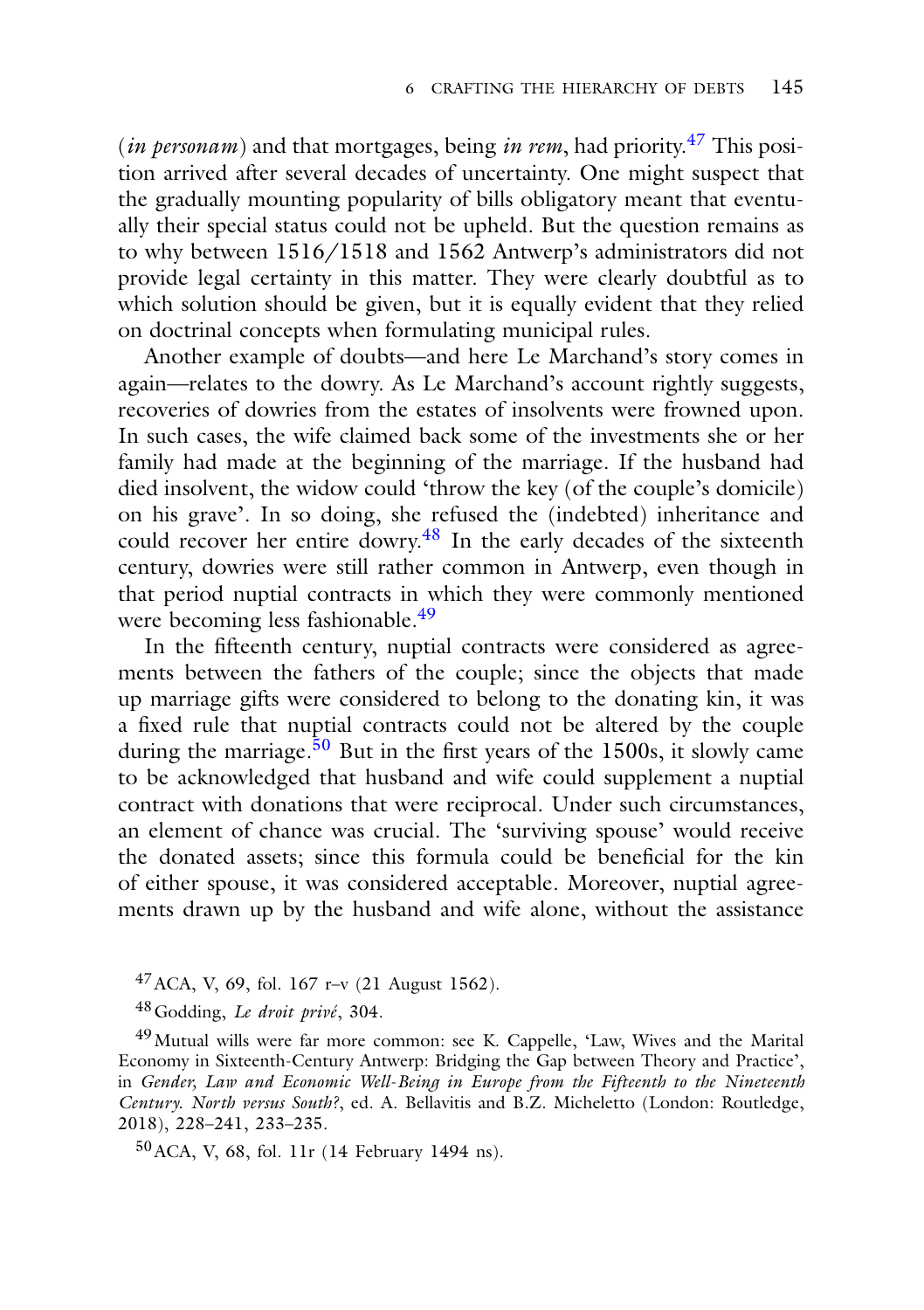(*in personam*) and that mortgages, being *in rem*, had priority.[47](#page-14-0) This position arrived after several decades of uncertainty. One might suspect that the gradually mounting popularity of bills obligatory meant that eventually their special status could not be upheld. But the question remains as to why between 1516/1518 and 1562 Antwerp's administrators did not provide legal certainty in this matter. They were clearly doubtful as to which solution should be given, but it is equally evident that they relied on doctrinal concepts when formulating municipal rules.

Another example of doubts—and here Le Marchand's story comes in again—relates to the dowry. As Le Marchand's account rightly suggests, recoveries of dowries from the estates of insolvents were frowned upon. In such cases, the wife claimed back some of the investments she or her family had made at the beginning of the marriage. If the husband had died insolvent, the widow could 'throw the key (of the couple's domicile) on his grave'. In so doing, she refused the (indebted) inheritance and could recover her entire dowry.<sup>48</sup> In the early decades of the sixteenth century, dowries were still rather common in Antwerp, even though in that period nuptial contracts in which they were commonly mentioned were becoming less fashionable.<sup>49</sup>

In the fifteenth century, nuptial contracts were considered as agreements between the fathers of the couple; since the objects that made up marriage gifts were considered to belong to the donating kin, it was a fixed rule that nuptial contracts could not be altered by the couple during the marriage.<sup>50</sup> But in the first years of the 1500s, it slowly came to be acknowledged that husband and wife could supplement a nuptial contract with donations that were reciprocal. Under such circumstances, an element of chance was crucial. The 'surviving spouse' would receive the donated assets; since this formula could be beneficial for the kin of either spouse, it was considered acceptable. Moreover, nuptial agreements drawn up by the husband and wife alone, without the assistance

49Mutual wills were far more common: see K. Cappelle, 'Law, Wives and the Marital Economy in Sixteenth-Century Antwerp: Bridging the Gap between Theory and Practice', in *Gender, Law and Economic Well*-*Being in Europe from the Fifteenth to the Nineteenth Century. North versus South?*, ed. A. Bellavitis and B.Z. Micheletto (London: Routledge, 2018), 228–241, 233–235.

<span id="page-14-3"></span>50ACA, V, 68, fol. 11r (14 February 1494 ns).

<span id="page-14-0"></span><sup>47</sup>ACA, V, 69, fol. 167 r–v (21 August 1562).

<span id="page-14-2"></span><span id="page-14-1"></span><sup>48</sup>Godding, *Le droit privé*, 304.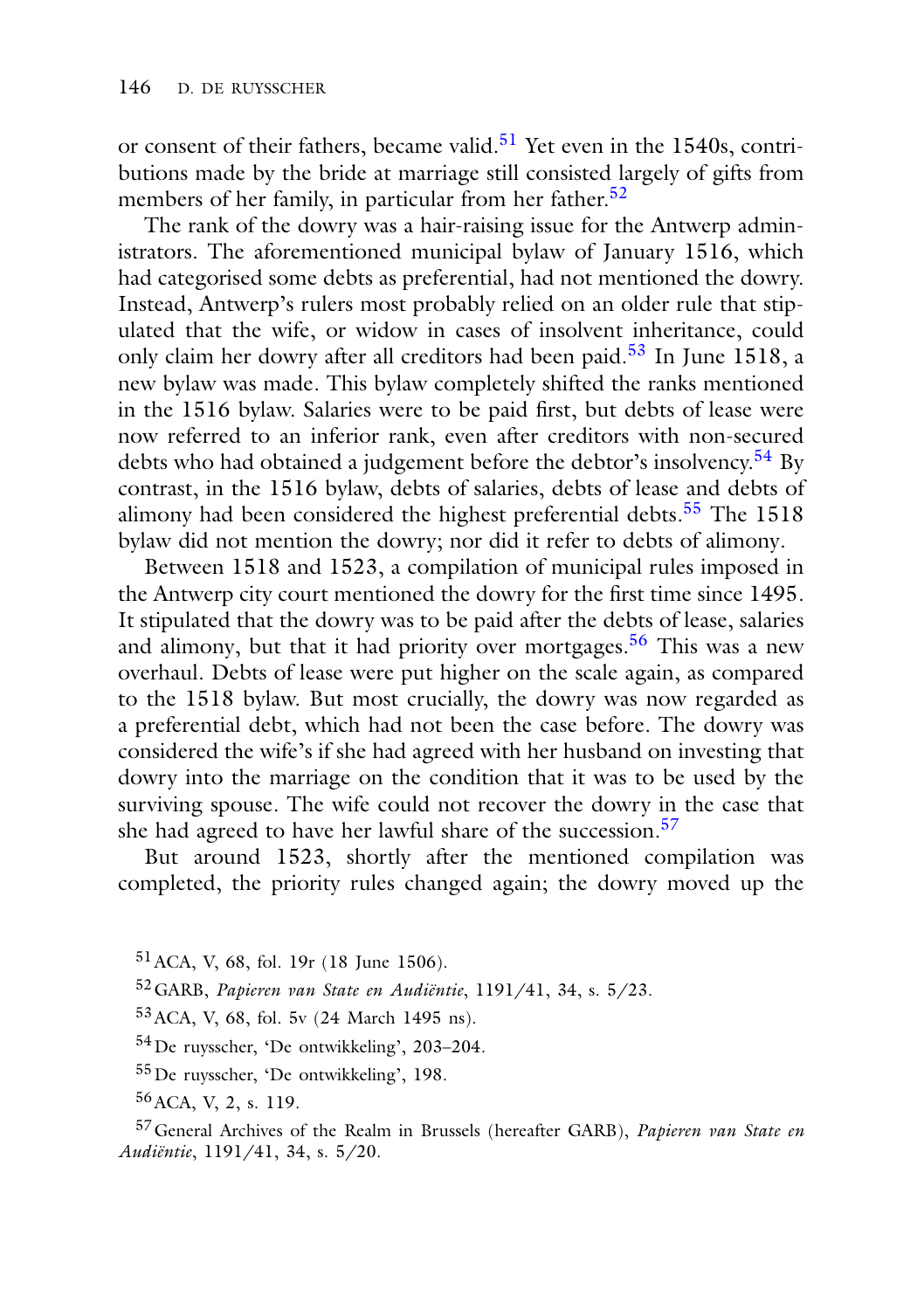or consent of their fathers, became valid.<sup>51</sup> Yet even in the 1540s, contributions made by the bride at marriage still consisted largely of gifts from members of her family, in particular from her father.<sup>[52](#page-15-1)</sup>

The rank of the dowry was a hair-raising issue for the Antwerp administrators. The aforementioned municipal bylaw of January 1516, which had categorised some debts as preferential, had not mentioned the dowry. Instead, Antwerp's rulers most probably relied on an older rule that stipulated that the wife, or widow in cases of insolvent inheritance, could only claim her dowry after all creditors had been paid.[53](#page-15-2) In June 1518, a new bylaw was made. This bylaw completely shifted the ranks mentioned in the 1516 bylaw. Salaries were to be paid first, but debts of lease were now referred to an inferior rank, even after creditors with non-secured debts who had obtained a judgement before the debtor's insolvency.<sup>[54](#page-15-3)</sup> By contrast, in the 1516 bylaw, debts of salaries, debts of lease and debts of alimony had been considered the highest preferential debts.<sup>[55](#page-15-4)</sup> The 1518 bylaw did not mention the dowry; nor did it refer to debts of alimony.

Between 1518 and 1523, a compilation of municipal rules imposed in the Antwerp city court mentioned the dowry for the first time since 1495. It stipulated that the dowry was to be paid after the debts of lease, salaries and alimony, but that it had priority over mortgages.<sup>56</sup> This was a new overhaul. Debts of lease were put higher on the scale again, as compared to the 1518 bylaw. But most crucially, the dowry was now regarded as a preferential debt, which had not been the case before. The dowry was considered the wife's if she had agreed with her husband on investing that dowry into the marriage on the condition that it was to be used by the surviving spouse. The wife could not recover the dowry in the case that she had agreed to have her lawful share of the succession.<sup>[57](#page-15-6)</sup>

But around 1523, shortly after the mentioned compilation was completed, the priority rules changed again; the dowry moved up the

<span id="page-15-0"></span>51ACA, V, 68, fol. 19r (18 June 1506).

<span id="page-15-1"></span>52GARB, *Papieren van State en Audiëntie*, 1191/41, 34, s. 5/23.

<span id="page-15-2"></span>53ACA, V, 68, fol. 5v (24 March 1495 ns).

<span id="page-15-3"></span>54De ruysscher, 'De ontwikkeling', 203–204.

<span id="page-15-4"></span>55De ruysscher, 'De ontwikkeling', 198.

<span id="page-15-6"></span><span id="page-15-5"></span>56ACA, V, 2, s. 119.

57General Archives of the Realm in Brussels (hereafter GARB), *Papieren van State en Audiëntie*, 1191/41, 34, s. 5/20.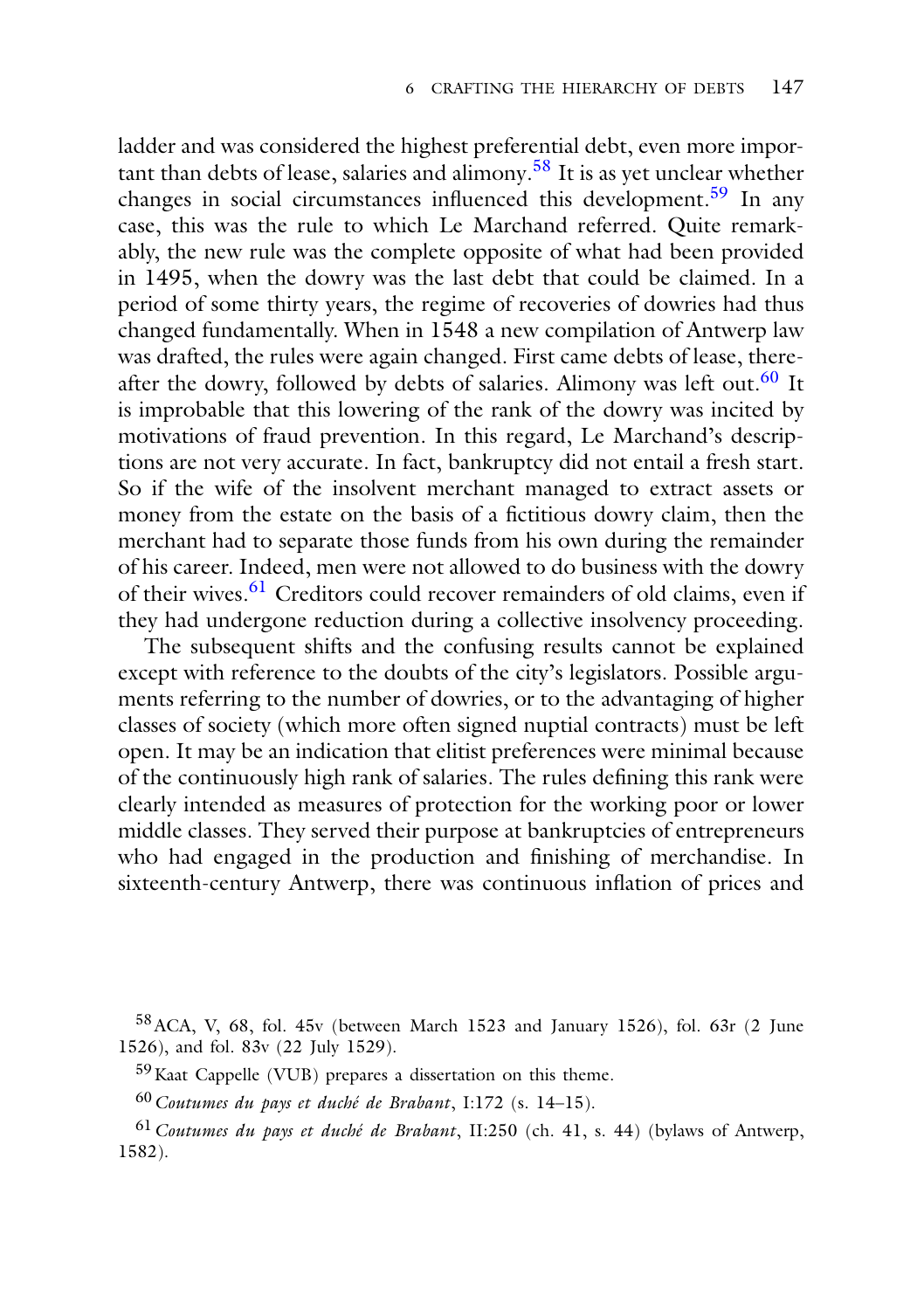ladder and was considered the highest preferential debt, even more impor-tant than debts of lease, salaries and alimony.<sup>[58](#page-16-0)</sup> It is as yet unclear whether changes in social circumstances influenced this development.<sup>[59](#page-16-1)</sup> In any case, this was the rule to which Le Marchand referred. Quite remarkably, the new rule was the complete opposite of what had been provided in 1495, when the dowry was the last debt that could be claimed. In a period of some thirty years, the regime of recoveries of dowries had thus changed fundamentally. When in 1548 a new compilation of Antwerp law was drafted, the rules were again changed. First came debts of lease, there-after the dowry, followed by debts of salaries. Alimony was left out.<sup>[60](#page-16-2)</sup> It is improbable that this lowering of the rank of the dowry was incited by motivations of fraud prevention. In this regard, Le Marchand's descriptions are not very accurate. In fact, bankruptcy did not entail a fresh start. So if the wife of the insolvent merchant managed to extract assets or money from the estate on the basis of a fictitious dowry claim, then the merchant had to separate those funds from his own during the remainder of his career. Indeed, men were not allowed to do business with the dowry of their wives.<sup>[61](#page-16-3)</sup> Creditors could recover remainders of old claims, even if they had undergone reduction during a collective insolvency proceeding.

The subsequent shifts and the confusing results cannot be explained except with reference to the doubts of the city's legislators. Possible arguments referring to the number of dowries, or to the advantaging of higher classes of society (which more often signed nuptial contracts) must be left open. It may be an indication that elitist preferences were minimal because of the continuously high rank of salaries. The rules defining this rank were clearly intended as measures of protection for the working poor or lower middle classes. They served their purpose at bankruptcies of entrepreneurs who had engaged in the production and finishing of merchandise. In sixteenth-century Antwerp, there was continuous inflation of prices and

<span id="page-16-0"></span>58ACA, V, 68, fol. 45v (between March 1523 and January 1526), fol. 63r (2 June 1526), and fol. 83v (22 July 1529).

<span id="page-16-1"></span>59Kaat Cappelle (VUB) prepares a dissertation on this theme.

<span id="page-16-3"></span><span id="page-16-2"></span><sup>60</sup>*Coutumes du pays et duché de Brabant*, I:172 (s. 14–15).

<sup>61</sup>*Coutumes du pays et duché de Brabant*, II:250 (ch. 41, s. 44) (bylaws of Antwerp, 1582).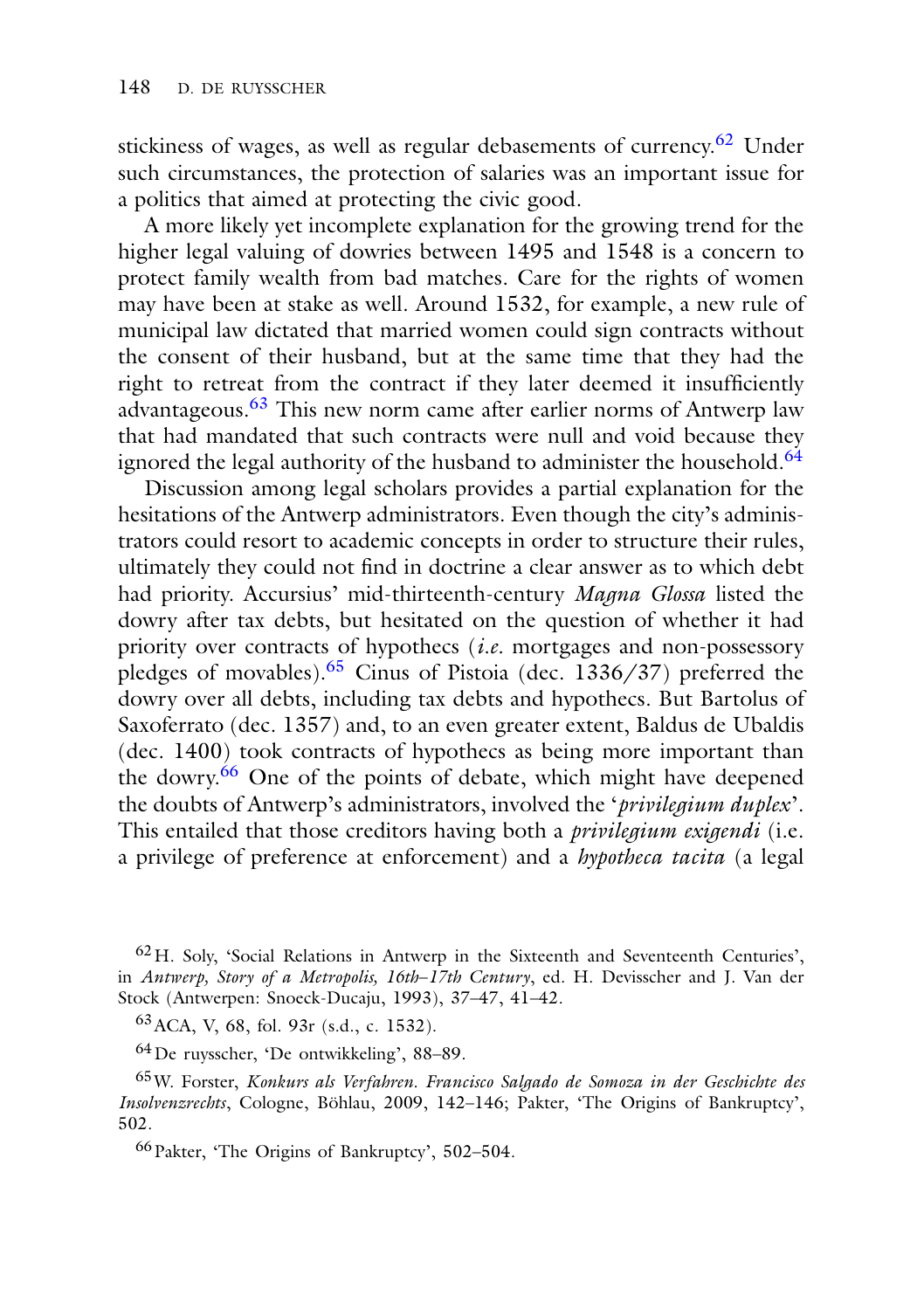stickiness of wages, as well as regular debasements of currency.<sup>[62](#page-17-0)</sup> Under such circumstances, the protection of salaries was an important issue for a politics that aimed at protecting the civic good.

A more likely yet incomplete explanation for the growing trend for the higher legal valuing of dowries between 1495 and 1548 is a concern to protect family wealth from bad matches. Care for the rights of women may have been at stake as well. Around 1532, for example, a new rule of municipal law dictated that married women could sign contracts without the consent of their husband, but at the same time that they had the right to retreat from the contract if they later deemed it insufficiently advantageous.[63](#page-17-1) This new norm came after earlier norms of Antwerp law that had mandated that such contracts were null and void because they ignored the legal authority of the husband to administer the household. $64$ 

Discussion among legal scholars provides a partial explanation for the hesitations of the Antwerp administrators. Even though the city's administrators could resort to academic concepts in order to structure their rules, ultimately they could not find in doctrine a clear answer as to which debt had priority. Accursius' mid-thirteenth-century *Magna Glossa* listed the dowry after tax debts, but hesitated on the question of whether it had priority over contracts of hypothecs (*i.e.* mortgages and non-possessory pledges of movables)[.65](#page-17-3) Cinus of Pistoia (dec. 1336/37) preferred the dowry over all debts, including tax debts and hypothecs. But Bartolus of Saxoferrato (dec. 1357) and, to an even greater extent, Baldus de Ubaldis (dec. 1400) took contracts of hypothecs as being more important than the dowry. $66$  One of the points of debate, which might have deepened the doubts of Antwerp's administrators, involved the '*privilegium duplex*'. This entailed that those creditors having both a *privilegium exigendi* (i.e. a privilege of preference at enforcement) and a *hypotheca tacita* (a legal

<span id="page-17-1"></span>63ACA, V, 68, fol. 93r (s.d., c. 1532).

<span id="page-17-3"></span><span id="page-17-2"></span>64De ruysscher, 'De ontwikkeling', 88–89.

<span id="page-17-0"></span><sup>62</sup>H. Soly, 'Social Relations in Antwerp in the Sixteenth and Seventeenth Centuries', in *Antwerp, Story of a Metropolis, 16th*–*17th Century*, ed. H. Devisscher and J. Van der Stock (Antwerpen: Snoeck-Ducaju, 1993), 37–47, 41–42.

<sup>65</sup>W. Forster, *Konkurs als Verfahren. Francisco Salgado de Somoza in der Geschichte des Insolvenzrechts*, Cologne, Böhlau, 2009, 142–146; Pakter, 'The Origins of Bankruptcy', 502.

<span id="page-17-4"></span><sup>66</sup>Pakter, 'The Origins of Bankruptcy', 502–504.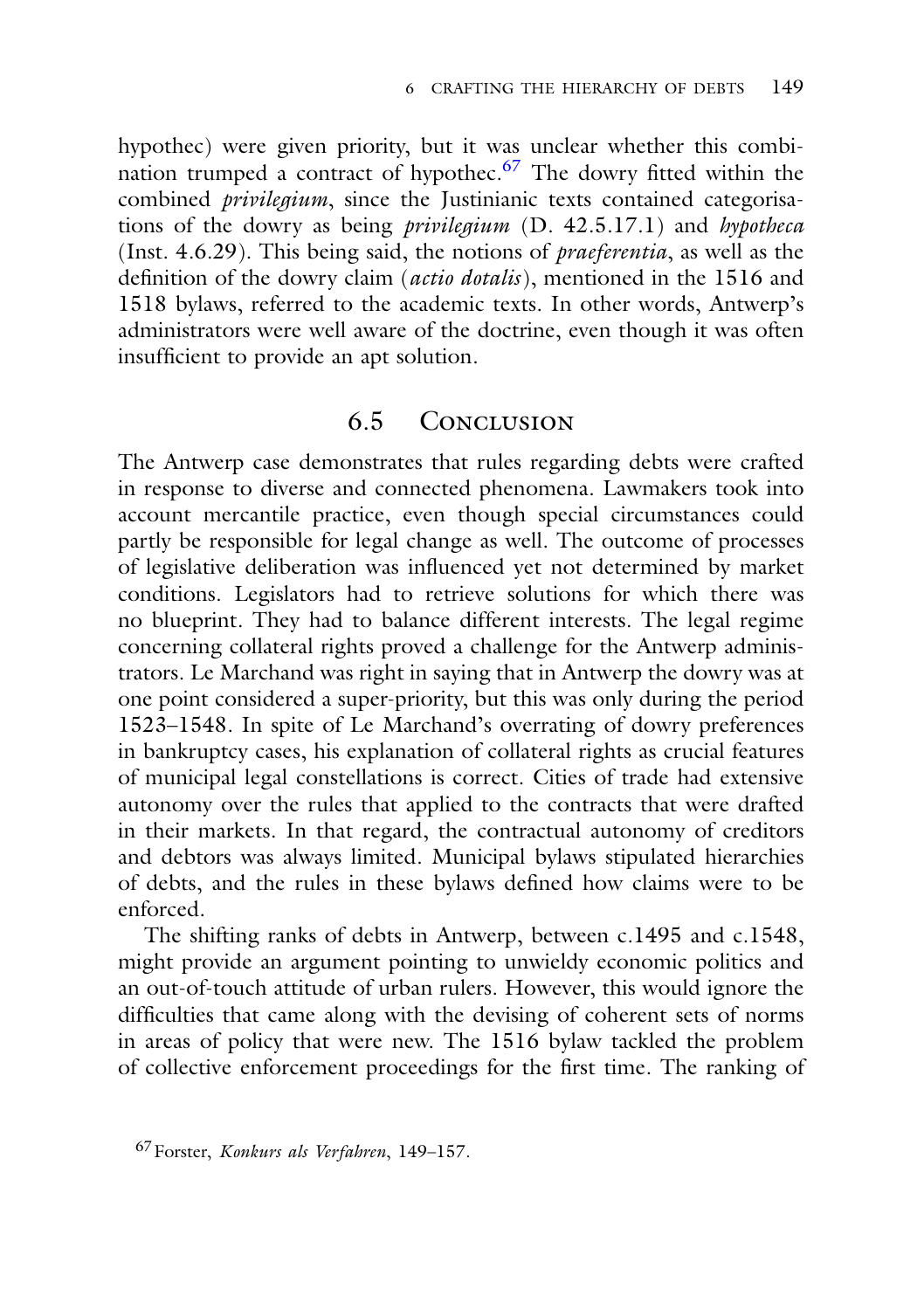hypothec) were given priority, but it was unclear whether this combination trumped a contract of hypothec[.67](#page-18-0) The dowry fitted within the combined *privilegium*, since the Justinianic texts contained categorisations of the dowry as being *privilegium* (D. 42.5.17.1) and *hypotheca* (Inst. 4.6.29). This being said, the notions of *praeferentia*, as well as the definition of the dowry claim (*actio dotalis*), mentioned in the 1516 and 1518 bylaws, referred to the academic texts. In other words, Antwerp's administrators were well aware of the doctrine, even though it was often insufficient to provide an apt solution.

### 6.5 Conclusion

The Antwerp case demonstrates that rules regarding debts were crafted in response to diverse and connected phenomena. Lawmakers took into account mercantile practice, even though special circumstances could partly be responsible for legal change as well. The outcome of processes of legislative deliberation was influenced yet not determined by market conditions. Legislators had to retrieve solutions for which there was no blueprint. They had to balance different interests. The legal regime concerning collateral rights proved a challenge for the Antwerp administrators. Le Marchand was right in saying that in Antwerp the dowry was at one point considered a super-priority, but this was only during the period 1523–1548. In spite of Le Marchand's overrating of dowry preferences in bankruptcy cases, his explanation of collateral rights as crucial features of municipal legal constellations is correct. Cities of trade had extensive autonomy over the rules that applied to the contracts that were drafted in their markets. In that regard, the contractual autonomy of creditors and debtors was always limited. Municipal bylaws stipulated hierarchies of debts, and the rules in these bylaws defined how claims were to be enforced.

<span id="page-18-0"></span>The shifting ranks of debts in Antwerp, between c.1495 and c.1548, might provide an argument pointing to unwieldy economic politics and an out-of-touch attitude of urban rulers. However, this would ignore the difficulties that came along with the devising of coherent sets of norms in areas of policy that were new. The 1516 bylaw tackled the problem of collective enforcement proceedings for the first time. The ranking of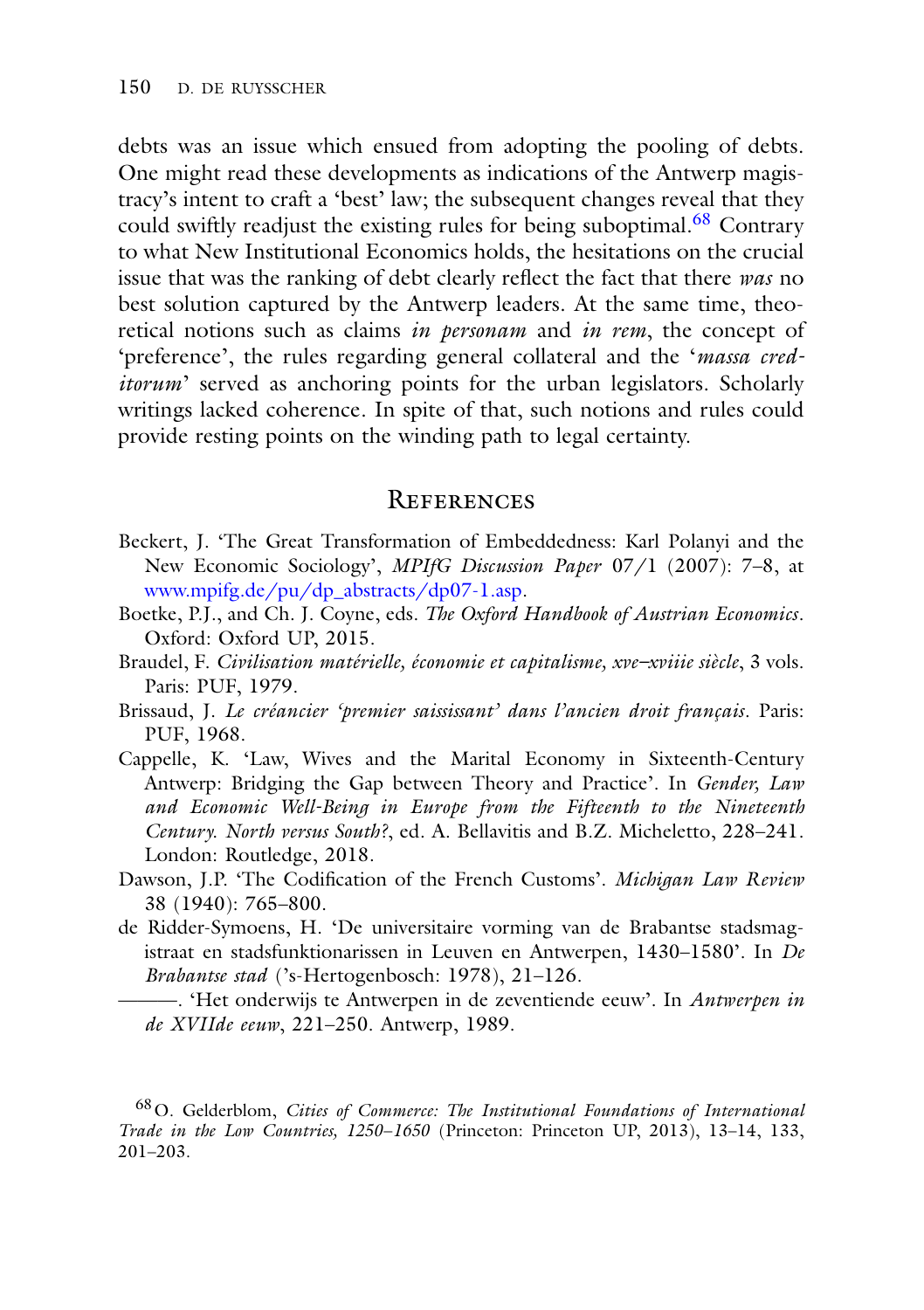debts was an issue which ensued from adopting the pooling of debts. One might read these developments as indications of the Antwerp magistracy's intent to craft a 'best' law; the subsequent changes reveal that they could swiftly readjust the existing rules for being suboptimal.<sup>68</sup> Contrary to what New Institutional Economics holds, the hesitations on the crucial issue that was the ranking of debt clearly reflect the fact that there *was* no best solution captured by the Antwerp leaders. At the same time, theoretical notions such as claims *in personam* and *in rem*, the concept of 'preference', the rules regarding general collateral and the '*massa creditorum*' served as anchoring points for the urban legislators. Scholarly writings lacked coherence. In spite of that, such notions and rules could provide resting points on the winding path to legal certainty.

#### **REFERENCES**

- Beckert, J. 'The Great Transformation of Embeddedness: Karl Polanyi and the New Economic Sociology', *MPIfG Discussion Paper* 07/1 (2007): 7–8, at [www.mpifg.de/pu/dp\\_abstracts/dp07-1.asp.](http://www.mpifg.de/pu/dp_abstracts/dp07-1.asp)
- Boetke, P.J., and Ch. J. Coyne, eds. *The Oxford Handbook of Austrian Economics*. Oxford: Oxford UP, 2015.
- Braudel, F. *Civilisation matérielle, économie et capitalisme, xve–xviiie siècle*, 3 vols. Paris: PUF, 1979.
- Brissaud, J. *Le créancier 'premier saississant' dans l'ancien droit français*. Paris: PUF, 1968.
- Cappelle, K. 'Law, Wives and the Marital Economy in Sixteenth-Century Antwerp: Bridging the Gap between Theory and Practice'. In *Gender, Law and Economic Well-Being in Europe from the Fifteenth to the Nineteenth Century. North versus South?*, ed. A. Bellavitis and B.Z. Micheletto, 228–241. London: Routledge, 2018.
- Dawson, J.P. 'The Codification of the French Customs'. *Michigan Law Review* 38 (1940): 765–800.
- de Ridder-Symoens, H. 'De universitaire vorming van de Brabantse stadsmagistraat en stadsfunktionarissen in Leuven en Antwerpen, 1430–1580'. In *De Brabantse stad* ('s-Hertogenbosch: 1978), 21–126.
- ———. 'Het onderwijs te Antwerpen in de zeventiende eeuw'. In *Antwerpen in de XVIIde eeuw*, 221–250. Antwerp, 1989.

<span id="page-19-0"></span><sup>68</sup>O. Gelderblom, *Cities of Commerce: The Institutional Foundations of International Trade in the Low Countries, 1250*–*1650* (Princeton: Princeton UP, 2013), 13–14, 133, 201–203.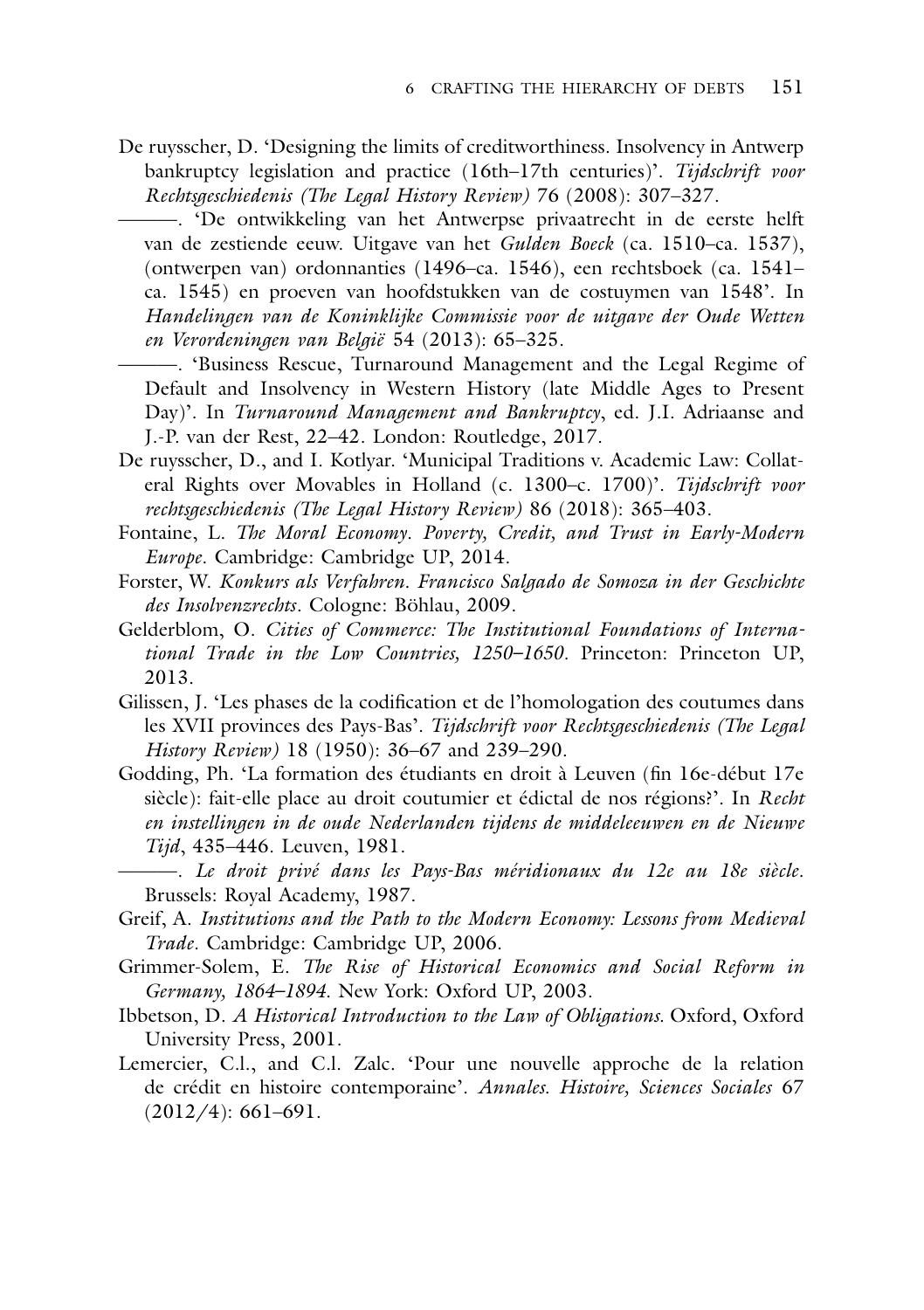De ruysscher, D. 'Designing the limits of creditworthiness. Insolvency in Antwerp bankruptcy legislation and practice (16th–17th centuries)'. *Tijdschrift voor Rechtsgeschiedenis (The Legal History Review)* 76 (2008): 307–327.

———. 'De ontwikkeling van het Antwerpse privaatrecht in de eerste helft van de zestiende eeuw. Uitgave van het *Gulden Boeck* (ca. 1510–ca. 1537), (ontwerpen van) ordonnanties (1496–ca. 1546), een rechtsboek (ca. 1541– ca. 1545) en proeven van hoofdstukken van de costuymen van 1548'. In *Handelingen van de Koninklijke Commissie voor de uitgave der Oude Wetten en Verordeningen van België* 54 (2013): 65–325.

- ———. 'Business Rescue, Turnaround Management and the Legal Regime of Default and Insolvency in Western History (late Middle Ages to Present Day)'. In *Turnaround Management and Bankruptcy*, ed. J.I. Adriaanse and J.-P. van der Rest, 22–42. London: Routledge, 2017.
- De ruysscher, D., and I. Kotlyar. 'Municipal Traditions v. Academic Law: Collateral Rights over Movables in Holland (c. 1300–c. 1700)'. *Tijdschrift voor rechtsgeschiedenis (The Legal History Review)* 86 (2018): 365–403.
- Fontaine, L. *The Moral Economy*. *Poverty, Credit, and Trust in Early-Modern Europe*. Cambridge: Cambridge UP, 2014.
- Forster, W. *Konkurs als Verfahren. Francisco Salgado de Somoza in der Geschichte des Insolvenzrechts*. Cologne: Böhlau, 2009.
- Gelderblom, O. *Cities of Commerce: The Institutional Foundations of International Trade in the Low Countries, 1250–1650*. Princeton: Princeton UP, 2013.
- Gilissen, J. 'Les phases de la codification et de l'homologation des coutumes dans les XVII provinces des Pays-Bas'. *Tijdschrift voor Rechtsgeschiedenis (The Legal History Review)* 18 (1950): 36–67 and 239–290.
- Godding, Ph. 'La formation des étudiants en droit à Leuven (fin 16e-début 17e siècle): fait-elle place au droit coutumier et édictal de nos régions?'. In *Recht en instellingen in de oude Nederlanden tijdens de middeleeuwen en de Nieuwe Tijd*, 435–446. Leuven, 1981.
- ———. *Le droit privé dans les Pays-Bas méridionaux du 12e au 18e siècle*. Brussels: Royal Academy, 1987.
- Greif, A. *Institutions and the Path to the Modern Economy: Lessons from Medieval Trade*. Cambridge: Cambridge UP, 2006.
- Grimmer-Solem, E. *The Rise of Historical Economics and Social Reform in Germany, 1864–1894*. New York: Oxford UP, 2003.
- Ibbetson, D. *A Historical Introduction to the Law of Obligations.* Oxford, Oxford University Press, 2001.
- Lemercier, C.l., and C.l. Zalc. 'Pour une nouvelle approche de la relation de crédit en histoire contemporaine'. *Annales. Histoire, Sciences Sociales* 67 (2012/4): 661–691.